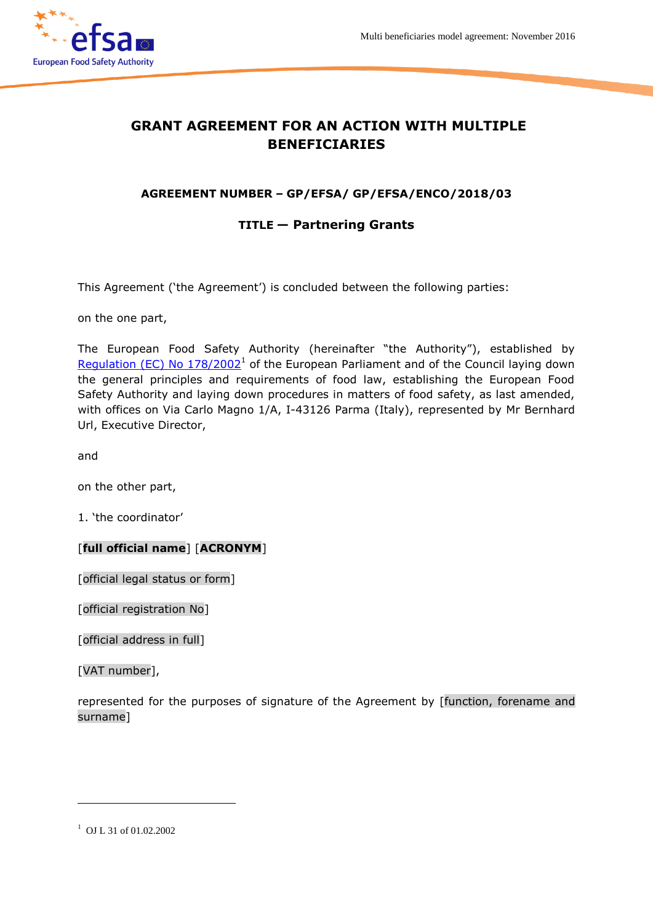

# **GRANT AGREEMENT FOR AN ACTION WITH MULTIPLE BENEFICIARIES**

# **AGREEMENT NUMBER – GP/EFSA/ GP/EFSA/ENCO/2018/03**

# **TITLE — Partnering Grants**

This Agreement ('the Agreement') is concluded between the following parties:

on the one part,

The European Food Safety Authority (hereinafter "the Authority"), established by Regulation (EC) No  $178/2002<sup>1</sup>$  of the European Parliament and of the Council laying down the general principles and requirements of food law, establishing the European Food Safety Authority and laying down procedures in matters of food safety, as last amended, with offices on Via Carlo Magno 1/A, I-43126 Parma (Italy), represented by Mr Bernhard Url, Executive Director,

and

on the other part,

1. 'the coordinator'

#### [**full official name**] [**ACRONYM**]

[official legal status or form]

[official registration No]

[official address in full]

[VAT number],

represented for the purposes of signature of the Agreement by [function, forename and surname]

 $\overline{a}$ 

<sup>&</sup>lt;sup>1</sup> OJ L 31 of 01.02.2002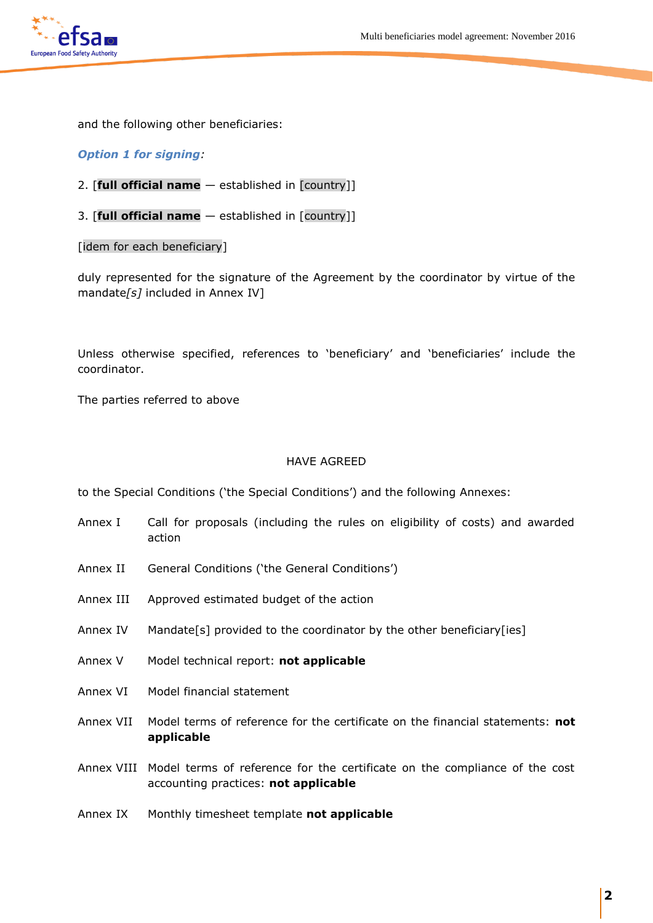

and the following other beneficiaries:

#### *Option 1 for signing:*

- 2. [**full official name** established in [country]]
- 3. [**full official name** established in [country]]

[idem for each beneficiary]

duly represented for the signature of the Agreement by the coordinator by virtue of the mandate*[s]* included in Annex IV]

Unless otherwise specified, references to 'beneficiary' and 'beneficiaries' include the coordinator.

The parties referred to above

#### HAVE AGREED

to the Special Conditions ('the Special Conditions') and the following Annexes:

- Annex I Call for proposals (including the rules on eligibility of costs) and awarded action
- Annex II General Conditions ('the General Conditions')
- Annex III Approved estimated budget of the action
- Annex IV Mandate[s] provided to the coordinator by the other beneficiary[ies]
- Annex V Model technical report: **not applicable**
- Annex VI Model financial statement
- Annex VII Model terms of reference for the certificate on the financial statements: **not applicable**
- Annex VIII Model terms of reference for the certificate on the compliance of the cost accounting practices: **not applicable**
- Annex IX Monthly timesheet template **not applicable**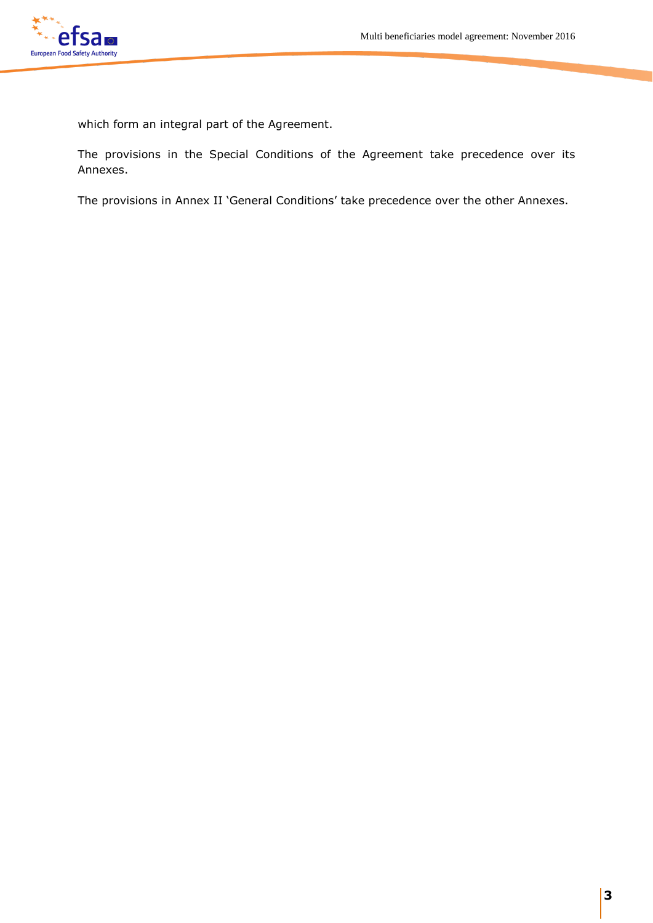

which form an integral part of the Agreement.

The provisions in the Special Conditions of the Agreement take precedence over its Annexes.

The provisions in Annex II 'General Conditions' take precedence over the other Annexes.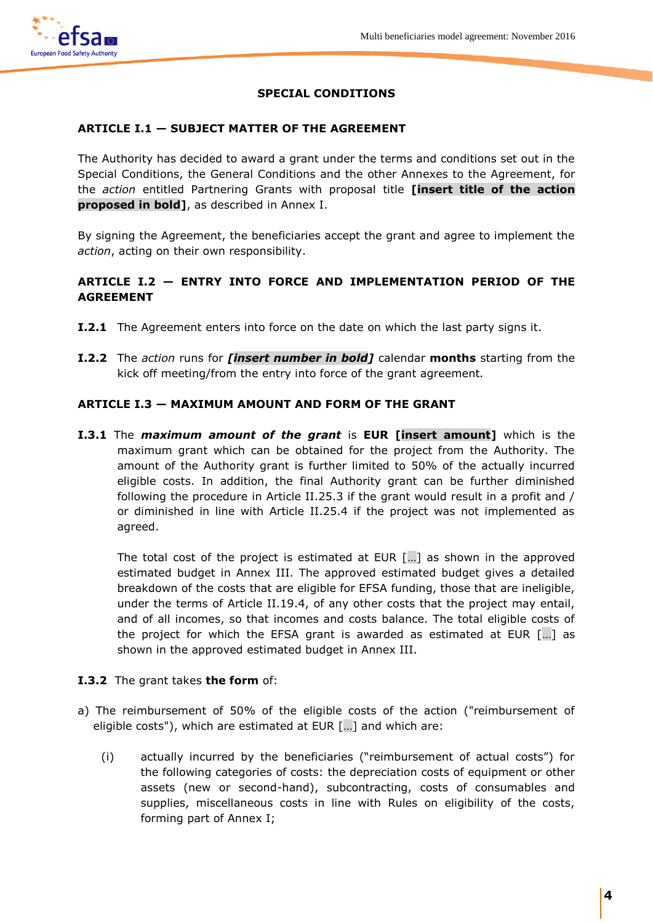

# **SPECIAL CONDITIONS**

### **ARTICLE I.1 — SUBJECT MATTER OF THE AGREEMENT**

The Authority has decided to award a grant under the terms and conditions set out in the Special Conditions, the General Conditions and the other Annexes to the Agreement, for the *action* entitled Partnering Grants with proposal title **[insert title of the action proposed in bold]**, as described in Annex I.

By signing the Agreement, the beneficiaries accept the grant and agree to implement the *action*, acting on their own responsibility.

# **ARTICLE I.2 — ENTRY INTO FORCE AND IMPLEMENTATION PERIOD OF THE AGREEMENT**

- **I.2.1** The Agreement enters into force on the date on which the last party signs it.
- **I.2.2** The *action* runs for *[insert number in bold]* calendar **months** starting from the kick off meeting/from the entry into force of the grant agreement*.*

### **ARTICLE I.3 — MAXIMUM AMOUNT AND FORM OF THE GRANT**

**I.3.1** The *maximum amount of the grant* is **EUR [insert amount]** which is the maximum grant which can be obtained for the project from the Authority. The amount of the Authority grant is further limited to 50% of the actually incurred eligible costs. In addition, the final Authority grant can be further diminished following the procedure in Article II.25.3 if the grant would result in a profit and / or diminished in line with Article II.25.4 if the project was not implemented as agreed.

The total cost of the project is estimated at EUR […] as shown in the approved estimated budget in Annex III. The approved estimated budget gives a detailed breakdown of the costs that are eligible for EFSA funding, those that are ineligible, under the terms of Article II.19.4, of any other costs that the project may entail, and of all incomes, so that incomes and costs balance. The total eligible costs of the project for which the EFSA grant is awarded as estimated at EUR […] as shown in the approved estimated budget in Annex III.

#### **I.3.2** The grant takes **the form** of:

- a) The reimbursement of 50% of the eligible costs of the action ("reimbursement of eligible costs"), which are estimated at EUR […] and which are:
	- (i) actually incurred by the beneficiaries ("reimbursement of actual costs") for the following categories of costs: the depreciation costs of equipment or other assets (new or second-hand), subcontracting, costs of consumables and supplies, miscellaneous costs in line with Rules on eligibility of the costs, forming part of Annex I;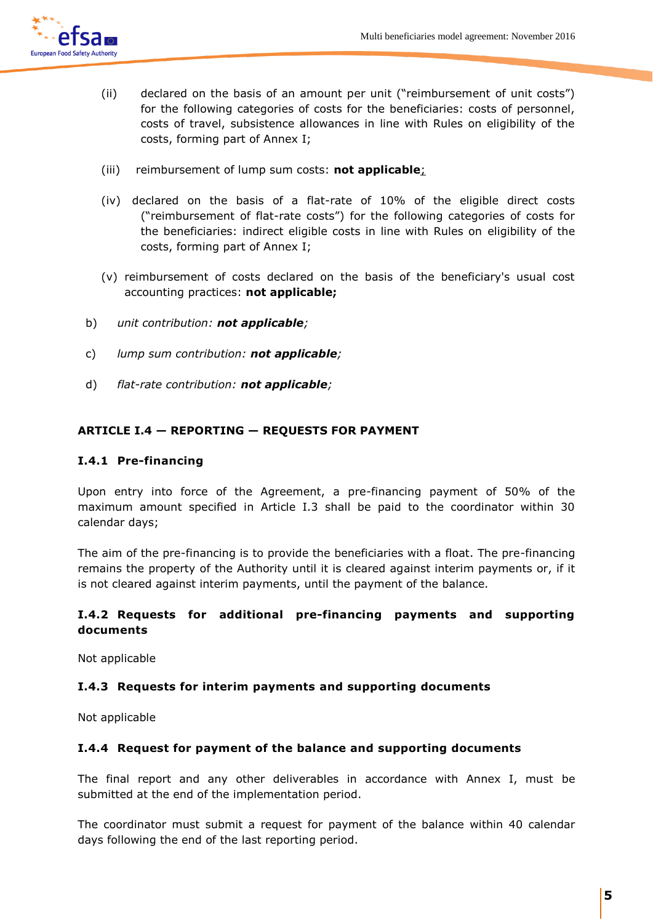

- (ii) declared on the basis of an amount per unit ("reimbursement of unit costs") for the following categories of costs for the beneficiaries: costs of personnel, costs of travel, subsistence allowances in line with Rules on eligibility of the costs, forming part of Annex I;
- (iii) reimbursement of lump sum costs: **not applicable**;
- (iv) declared on the basis of a flat-rate of 10% of the eligible direct costs ("reimbursement of flat-rate costs") for the following categories of costs for the beneficiaries: indirect eligible costs in line with Rules on eligibility of the costs, forming part of Annex I;
- (v) reimbursement of costs declared on the basis of the beneficiary's usual cost accounting practices: **not applicable;**
- b) *unit contribution: not applicable;*
- c) *lump sum contribution: not applicable;*
- d) *flat-rate contribution: not applicable;*

# **ARTICLE I.4 — REPORTING — REQUESTS FOR PAYMENT**

### **I.4.1 Pre-financing**

Upon entry into force of the Agreement, a pre-financing payment of 50% of the maximum amount specified in Article I.3 shall be paid to the coordinator within 30 calendar days;

The aim of the pre-financing is to provide the beneficiaries with a float. The pre-financing remains the property of the Authority until it is cleared against interim payments or, if it is not cleared against interim payments, until the payment of the balance.

# **I.4.2 Requests for additional pre-financing payments and supporting documents**

Not applicable

# **I.4.3 Requests for interim payments and supporting documents**

Not applicable

#### **I.4.4 Request for payment of the balance and supporting documents**

The final report and any other deliverables in accordance with Annex I, must be submitted at the end of the implementation period.

The coordinator must submit a request for payment of the balance within 40 calendar days following the end of the last reporting period.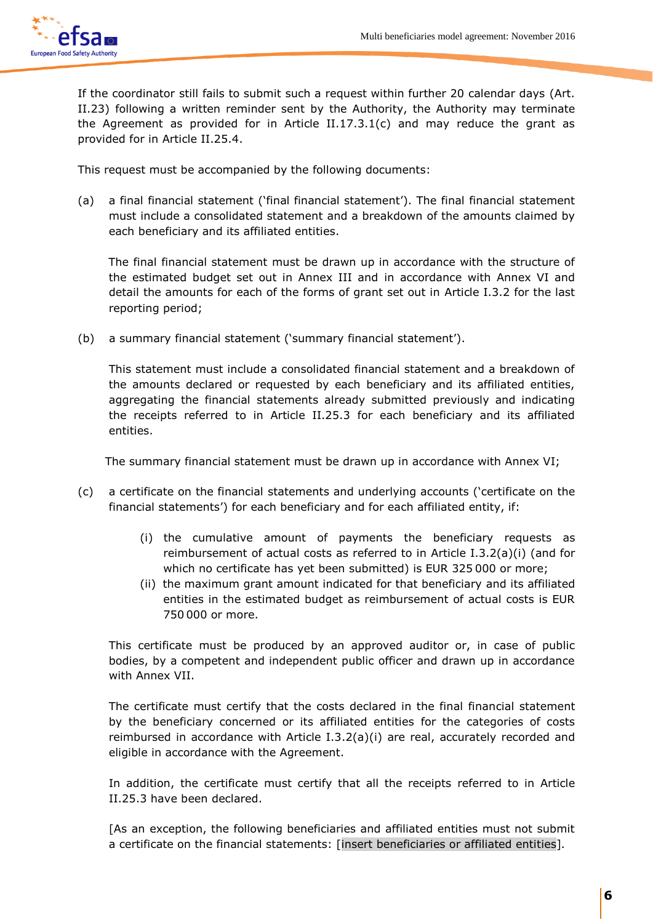

If the coordinator still fails to submit such a request within further 20 calendar days (Art. II.23) following a written reminder sent by the Authority, the Authority may terminate the Agreement as provided for in Article II.17.3.1(c) and may reduce the grant as provided for in Article II.25.4.

This request must be accompanied by the following documents:

(a) a final financial statement ('final financial statement'). The final financial statement must include a consolidated statement and a breakdown of the amounts claimed by each beneficiary and its affiliated entities.

 The final financial statement must be drawn up in accordance with the structure of the estimated budget set out in Annex III and in accordance with Annex VI and detail the amounts for each of the forms of grant set out in Article I.3.2 for the last reporting period;

(b) a summary financial statement ('summary financial statement').

This statement must include a consolidated financial statement and a breakdown of the amounts declared or requested by each beneficiary and its affiliated entities, aggregating the financial statements already submitted previously and indicating the receipts referred to in Article II.25.3 for each beneficiary and its affiliated entities.

The summary financial statement must be drawn up in accordance with Annex VI;

- (c) a certificate on the financial statements and underlying accounts ('certificate on the financial statements') for each beneficiary and for each affiliated entity, if:
	- (i) the cumulative amount of payments the beneficiary requests as reimbursement of actual costs as referred to in Article I.3.2(a)(i) (and for which no certificate has yet been submitted) is EUR 325 000 or more;
	- (ii) the maximum grant amount indicated for that beneficiary and its affiliated entities in the estimated budget as reimbursement of actual costs is EUR 750 000 or more.

This certificate must be produced by an approved auditor or, in case of public bodies, by a competent and independent public officer and drawn up in accordance with Annex VII.

The certificate must certify that the costs declared in the final financial statement by the beneficiary concerned or its affiliated entities for the categories of costs reimbursed in accordance with Article I.3.2(a)(i) are real, accurately recorded and eligible in accordance with the Agreement.

In addition, the certificate must certify that all the receipts referred to in Article II.25.3 have been declared.

[As an exception, the following beneficiaries and affiliated entities must not submit a certificate on the financial statements: [insert beneficiaries or affiliated entities]*.*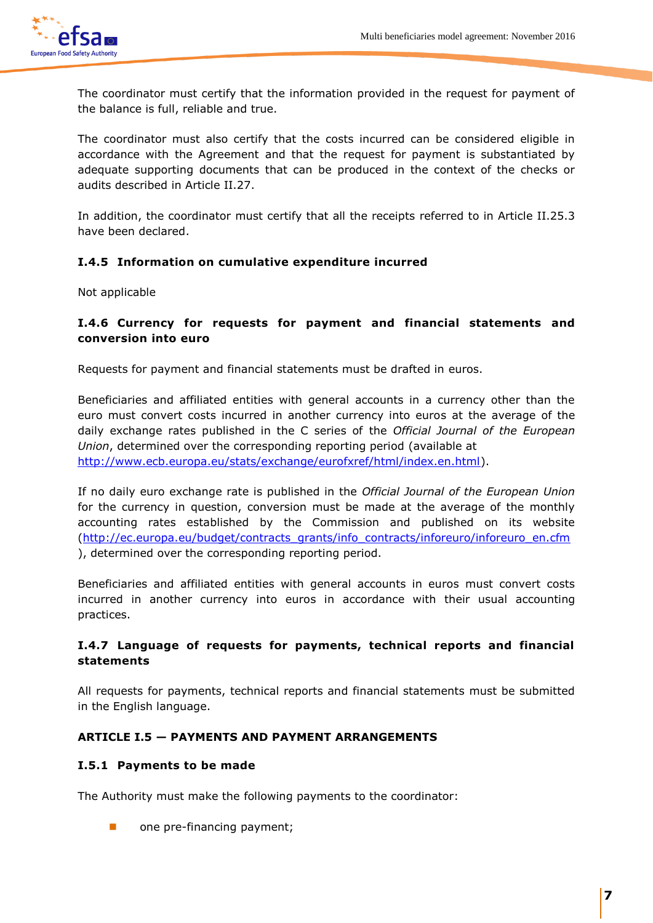

The coordinator must certify that the information provided in the request for payment of the balance is full, reliable and true.

The coordinator must also certify that the costs incurred can be considered eligible in accordance with the Agreement and that the request for payment is substantiated by adequate supporting documents that can be produced in the context of the checks or audits described in Article II.27.

In addition, the coordinator must certify that all the receipts referred to in Article II.25.3 have been declared.

# **I.4.5 Information on cumulative expenditure incurred**

Not applicable

# **I.4.6 Currency for requests for payment and financial statements and conversion into euro**

Requests for payment and financial statements must be drafted in euros.

Beneficiaries and affiliated entities with general accounts in a currency other than the euro must convert costs incurred in another currency into euros at the average of the daily exchange rates published in the C series of the *Official Journal of the European Union*, determined over the corresponding reporting period (available at [http://www.ecb.europa.eu/stats/exchange/eurofxref/html/index.en.html\)](http://www.ecb.europa.eu/stats/exchange/eurofxref/html/index.en.html).

If no daily euro exchange rate is published in the *Official Journal of the European Union* for the currency in question, conversion must be made at the average of the monthly accounting rates established by the Commission and published on its website [\(http://ec.europa.eu/budget/contracts\\_grants/info\\_contracts/inforeuro/inforeuro\\_en.cfm](http://ec.europa.eu/budget/contracts_grants/info_contracts/inforeuro/inforeuro_en.cfm) ), determined over the corresponding reporting period.

Beneficiaries and affiliated entities with general accounts in euros must convert costs incurred in another currency into euros in accordance with their usual accounting practices.

# **I.4.7 Language of requests for payments, technical reports and financial statements**

All requests for payments, technical reports and financial statements must be submitted in the English language.

# **ARTICLE I.5 — PAYMENTS AND PAYMENT ARRANGEMENTS**

# **I.5.1 Payments to be made**

The Authority must make the following payments to the coordinator:

one pre-financing payment;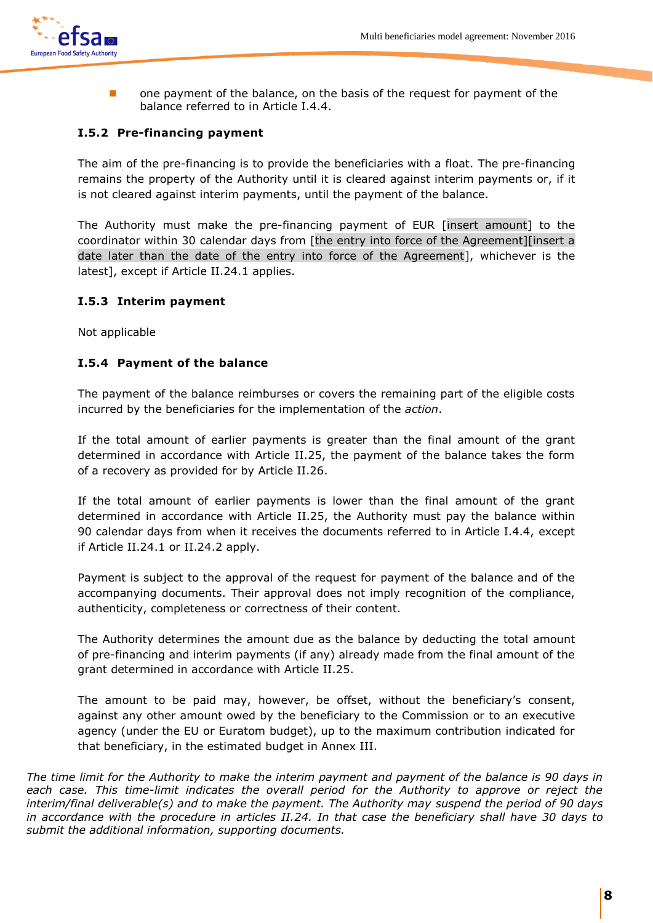

**number 1** one payment of the balance, on the basis of the request for payment of the balance referred to in Article I.4.4.

# **I.5.2 Pre-financing payment**

The aim of the pre-financing is to provide the beneficiaries with a float. The pre-financing remains the property of the Authority until it is cleared against interim payments or, if it is not cleared against interim payments, until the payment of the balance.

The Authority must make the pre-financing payment of EUR [insert amount] to the coordinator within 30 calendar days from [the entry into force of the Agreement][insert a date later than the date of the entry into force of the Agreement], whichever is the latest], except if Article II.24.1 applies.

# **I.5.3 Interim payment**

Not applicable

# **I.5.4 Payment of the balance**

The payment of the balance reimburses or covers the remaining part of the eligible costs incurred by the beneficiaries for the implementation of the *action*.

If the total amount of earlier payments is greater than the final amount of the grant determined in accordance with Article II.25, the payment of the balance takes the form of a recovery as provided for by Article II.26.

If the total amount of earlier payments is lower than the final amount of the grant determined in accordance with Article II.25, the Authority must pay the balance within 90 calendar days from when it receives the documents referred to in Article I.4.4, except if Article II.24.1 or II.24.2 apply.

Payment is subject to the approval of the request for payment of the balance and of the accompanying documents. Their approval does not imply recognition of the compliance, authenticity, completeness or correctness of their content.

The Authority determines the amount due as the balance by deducting the total amount of pre-financing and interim payments (if any) already made from the final amount of the grant determined in accordance with Article II.25.

The amount to be paid may, however, be offset, without the beneficiary's consent, against any other amount owed by the beneficiary to the Commission or to an executive agency (under the EU or Euratom budget), up to the maximum contribution indicated for that beneficiary, in the estimated budget in Annex III.

*The time limit for the Authority to make the interim payment and payment of the balance is 90 days in*  each case. This time-limit indicates the overall period for the Authority to approve or reject the *interim/final deliverable(s) and to make the payment. The Authority may suspend the period of 90 days in accordance with the procedure in articles II.24. In that case the beneficiary shall have 30 days to submit the additional information, supporting documents.*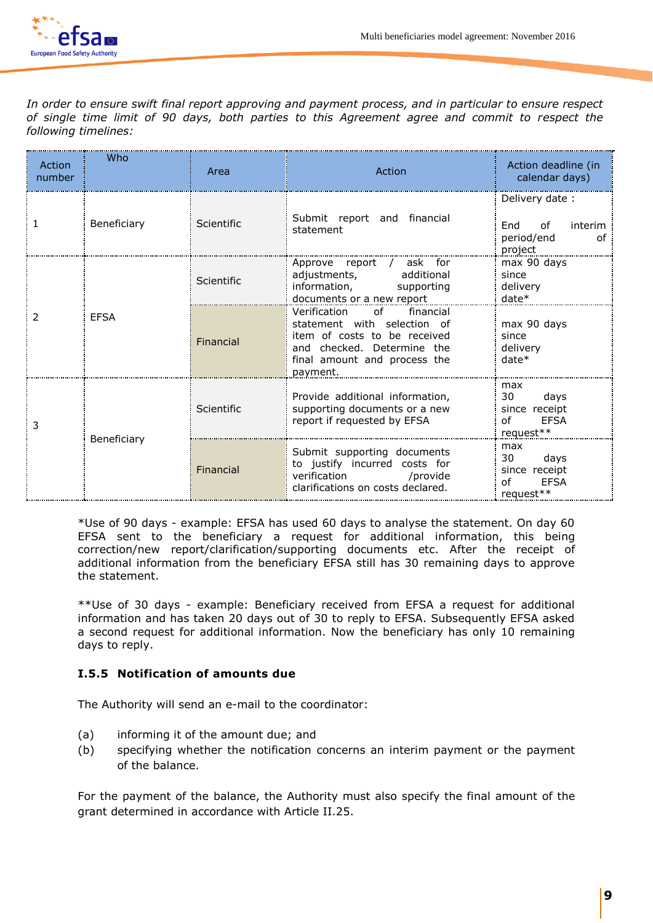

*In order to ensure swift final report approving and payment process, and in particular to ensure respect of single time limit of 90 days, both parties to this Agreement agree and commit to respect the following timelines:*

| Action<br>number | Who         | Area       | Action                                                                                                                                                                                                                                                                                | Action deadline (in<br>calendar days)                                 |
|------------------|-------------|------------|---------------------------------------------------------------------------------------------------------------------------------------------------------------------------------------------------------------------------------------------------------------------------------------|-----------------------------------------------------------------------|
|                  | Beneficiary | Scientific | Submit report and financial<br>statement                                                                                                                                                                                                                                              | Delivery date:<br>End<br>interim<br>0f<br>period/end<br>of<br>project |
| 2                | <b>EFSA</b> | Scientific | Approve report<br>/ ask for<br>adjustments,<br>additional<br>information,<br>supporting<br>documents or a new report                                                                                                                                                                  | max 90 days<br>since<br>delivery<br>$date*$                           |
|                  |             | Financial  | Verification<br>of the contract of the contract of the contract of the contract of the contract of the contract of the contract<br>financial<br>statement with selection of<br>item of costs to be received<br>and checked. Determine the<br>final amount and process the<br>payment. | max 90 days<br>since<br>delivery<br>$date*$                           |
| 3                | Beneficiary | Scientific | Provide additional information,<br>supporting documents or a new<br>report if requested by EFSA                                                                                                                                                                                       | max<br>30<br>days<br>since receipt<br>Ωf<br><b>FFSA</b><br>request**  |
|                  |             | Financial  | Submit supporting documents<br>to justify incurred costs for<br>verification /provide<br>clarifications on costs declared.                                                                                                                                                            | max<br>30<br>days<br>since receipt<br><b>FFSA</b><br>Ωf<br>request**  |

\*Use of 90 days - example: EFSA has used 60 days to analyse the statement. On day 60 EFSA sent to the beneficiary a request for additional information, this being correction/new report/clarification/supporting documents etc. After the receipt of additional information from the beneficiary EFSA still has 30 remaining days to approve the statement.

\*\*Use of 30 days - example: Beneficiary received from EFSA a request for additional information and has taken 20 days out of 30 to reply to EFSA. Subsequently EFSA asked a second request for additional information. Now the beneficiary has only 10 remaining days to reply.

# **I.5.5 Notification of amounts due**

The Authority will send an e-mail to the coordinator:

- (a) informing it of the amount due; and
- (b) specifying whether the notification concerns an interim payment or the payment of the balance.

For the payment of the balance, the Authority must also specify the final amount of the grant determined in accordance with Article II.25.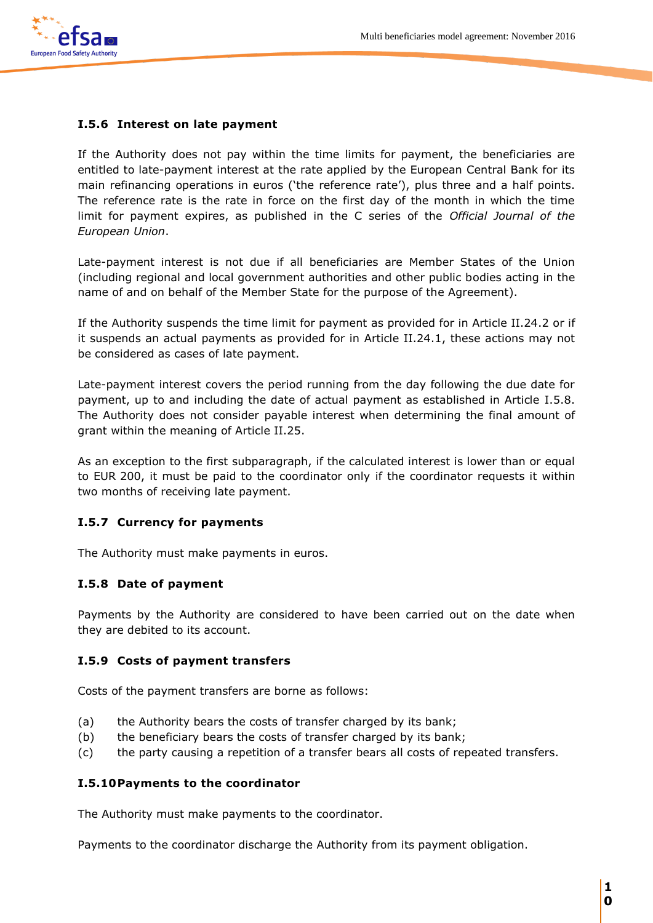

# **I.5.6 Interest on late payment**

If the Authority does not pay within the time limits for payment, the beneficiaries are entitled to late-payment interest at the rate applied by the European Central Bank for its main refinancing operations in euros ('the reference rate'), plus three and a half points. The reference rate is the rate in force on the first day of the month in which the time limit for payment expires, as published in the C series of the *Official Journal of the European Union*.

Late-payment interest is not due if all beneficiaries are Member States of the Union (including regional and local government authorities and other public bodies acting in the name of and on behalf of the Member State for the purpose of the Agreement).

If the Authority suspends the time limit for payment as provided for in Article II.24.2 or if it suspends an actual payments as provided for in Article II.24.1, these actions may not be considered as cases of late payment.

Late-payment interest covers the period running from the day following the due date for payment, up to and including the date of actual payment as established in Article I.5.8. The Authority does not consider payable interest when determining the final amount of grant within the meaning of Article II.25.

As an exception to the first subparagraph, if the calculated interest is lower than or equal to EUR 200, it must be paid to the coordinator only if the coordinator requests it within two months of receiving late payment.

# **I.5.7 Currency for payments**

The Authority must make payments in euros.

#### **I.5.8 Date of payment**

Payments by the Authority are considered to have been carried out on the date when they are debited to its account.

#### **I.5.9 Costs of payment transfers**

Costs of the payment transfers are borne as follows:

- (a) the Authority bears the costs of transfer charged by its bank;
- (b) the beneficiary bears the costs of transfer charged by its bank;
- (c) the party causing a repetition of a transfer bears all costs of repeated transfers.

#### **I.5.10Payments to the coordinator**

The Authority must make payments to the coordinator.

Payments to the coordinator discharge the Authority from its payment obligation.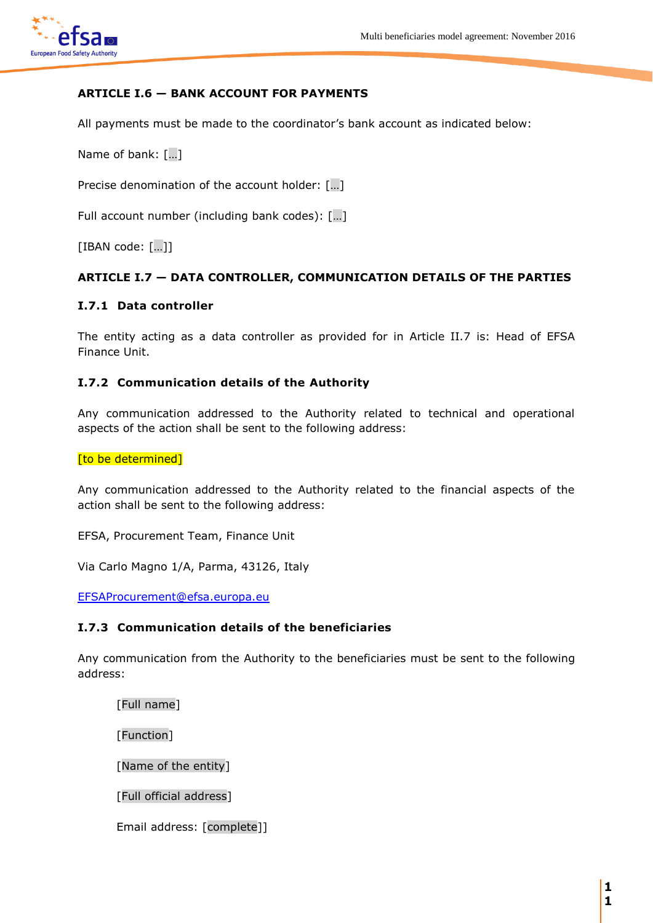

# **ARTICLE I.6 — BANK ACCOUNT FOR PAYMENTS**

All payments must be made to the coordinator's bank account as indicated below:

Name of bank: […]

Precise denomination of the account holder: [...]

Full account number (including bank codes): […]

[IBAN code: […]]

### **ARTICLE I.7 — DATA CONTROLLER, COMMUNICATION DETAILS OF THE PARTIES**

#### **I.7.1 Data controller**

The entity acting as a data controller as provided for in Article II.7 is: Head of EFSA Finance Unit.

### **I.7.2 Communication details of the Authority**

Any communication addressed to the Authority related to technical and operational aspects of the action shall be sent to the following address:

#### [to be determined]

Any communication addressed to the Authority related to the financial aspects of the action shall be sent to the following address:

EFSA, Procurement Team, Finance Unit

Via Carlo Magno 1/A, Parma, 43126, Italy

[EFSAProcurement@efsa.europa.eu](mailto:EFSAProcurement@efsa.europa.eu)

#### **I.7.3 Communication details of the beneficiaries**

Any communication from the Authority to the beneficiaries must be sent to the following address:

[Full name]

[Function]

[Name of the entity]

[Full official address]

Email address: [complete]]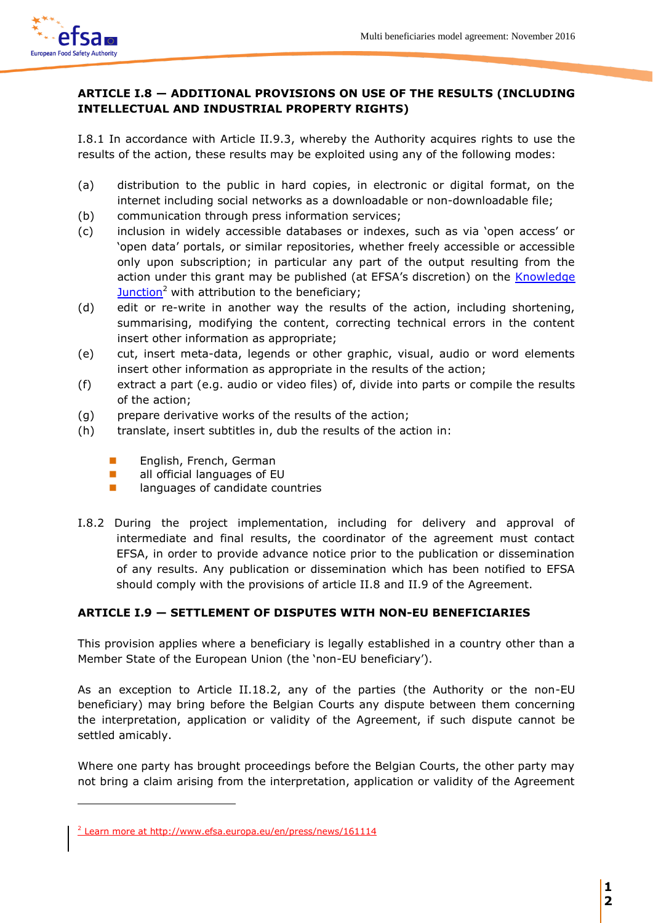

# **ARTICLE I.8 — ADDITIONAL PROVISIONS ON USE OF THE RESULTS (INCLUDING INTELLECTUAL AND INDUSTRIAL PROPERTY RIGHTS)**

I.8.1 In accordance with Article II.9.3, whereby the Authority acquires rights to use the results of the action, these results may be exploited using any of the following modes:

- (a) distribution to the public in hard copies, in electronic or digital format, on the internet including social networks as a downloadable or non-downloadable file;
- (b) communication through press information services;
- (c) inclusion in widely accessible databases or indexes, such as via 'open access' or 'open data' portals, or similar repositories, whether freely accessible or accessible only upon subscription; in particular any part of the output resulting from the action under this grant may be published (at EFSA's discretion) on the **Knowledge**  $\frac{\text{Junction}^2}{\text{U}}$  $\frac{\text{Junction}^2}{\text{U}}$  $\frac{\text{Junction}^2}{\text{U}}$  with attribution to the beneficiary;
- (d) edit or re-write in another way the results of the action, including shortening, summarising, modifying the content, correcting technical errors in the content insert other information as appropriate;
- (e) cut, insert meta-data, legends or other graphic, visual, audio or word elements insert other information as appropriate in the results of the action;
- (f) extract a part (e.g. audio or video files) of, divide into parts or compile the results of the action;
- (g) prepare derivative works of the results of the action;
- (h) translate, insert subtitles in, dub the results of the action in:
	- **English, French, German**
	- **all official languages of EU**
	- **n** languages of candidate countries
- I.8.2 During the project implementation, including for delivery and approval of intermediate and final results, the coordinator of the agreement must contact EFSA, in order to provide advance notice prior to the publication or dissemination of any results. Any publication or dissemination which has been notified to EFSA should comply with the provisions of article II.8 and II.9 of the Agreement.

# **ARTICLE I.9 — SETTLEMENT OF DISPUTES WITH NON-EU BENEFICIARIES**

This provision applies where a beneficiary is legally established in a country other than a Member State of the European Union (the 'non-EU beneficiary').

As an exception to Article II.18.2, any of the parties (the Authority or the non-EU beneficiary) may bring before the Belgian Courts any dispute between them concerning the interpretation, application or validity of the Agreement, if such dispute cannot be settled amicably.

Where one party has brought proceedings before the Belgian Courts, the other party may not bring a claim arising from the interpretation, application or validity of the Agreement

 $\overline{a}$ 

<sup>&</sup>lt;sup>2</sup> Learn more at<http://www.efsa.europa.eu/en/press/news/161114>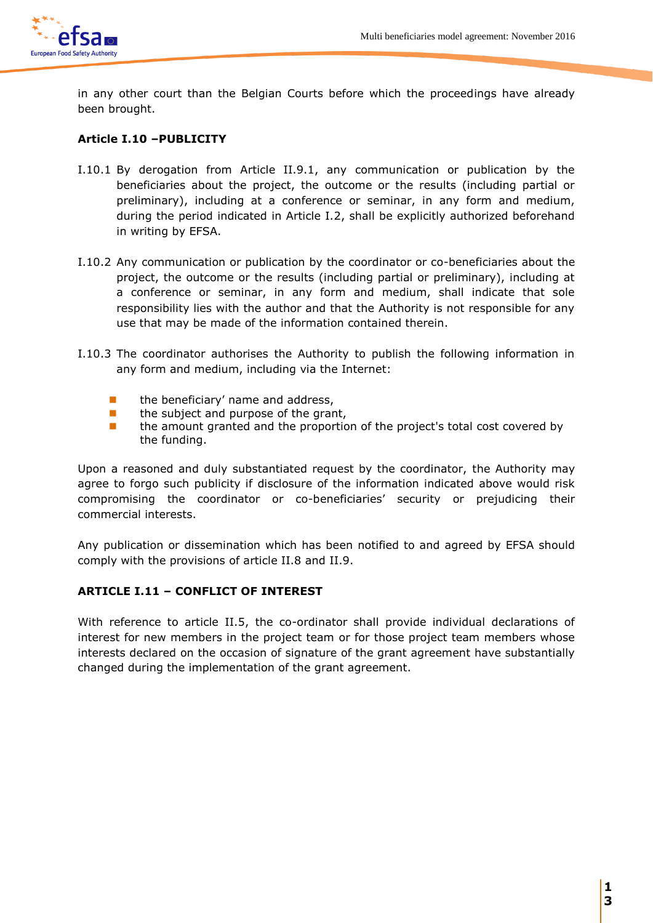

in any other court than the Belgian Courts before which the proceedings have already been brought.

# **Article I.10 –PUBLICITY**

- I.10.1 By derogation from Article II.9.1, any communication or publication by the beneficiaries about the project, the outcome or the results (including partial or preliminary), including at a conference or seminar, in any form and medium, during the period indicated in Article I.2, shall be explicitly authorized beforehand in writing by EFSA.
- I.10.2 Any communication or publication by the coordinator or co-beneficiaries about the project, the outcome or the results (including partial or preliminary), including at a conference or seminar, in any form and medium, shall indicate that sole responsibility lies with the author and that the Authority is not responsible for any use that may be made of the information contained therein.
- I.10.3 The coordinator authorises the Authority to publish the following information in any form and medium, including via the Internet:
	- $\blacksquare$  the beneficiary' name and address,
	- $\blacksquare$  the subject and purpose of the grant,
	- **n** the amount granted and the proportion of the project's total cost covered by the funding.

Upon a reasoned and duly substantiated request by the coordinator, the Authority may agree to forgo such publicity if disclosure of the information indicated above would risk compromising the coordinator or co-beneficiaries' security or prejudicing their commercial interests.

Any publication or dissemination which has been notified to and agreed by EFSA should comply with the provisions of article II.8 and II.9.

# **ARTICLE I.11 – CONFLICT OF INTEREST**

With reference to article II.5, the co-ordinator shall provide individual declarations of interest for new members in the project team or for those project team members whose interests declared on the occasion of signature of the grant agreement have substantially changed during the implementation of the grant agreement.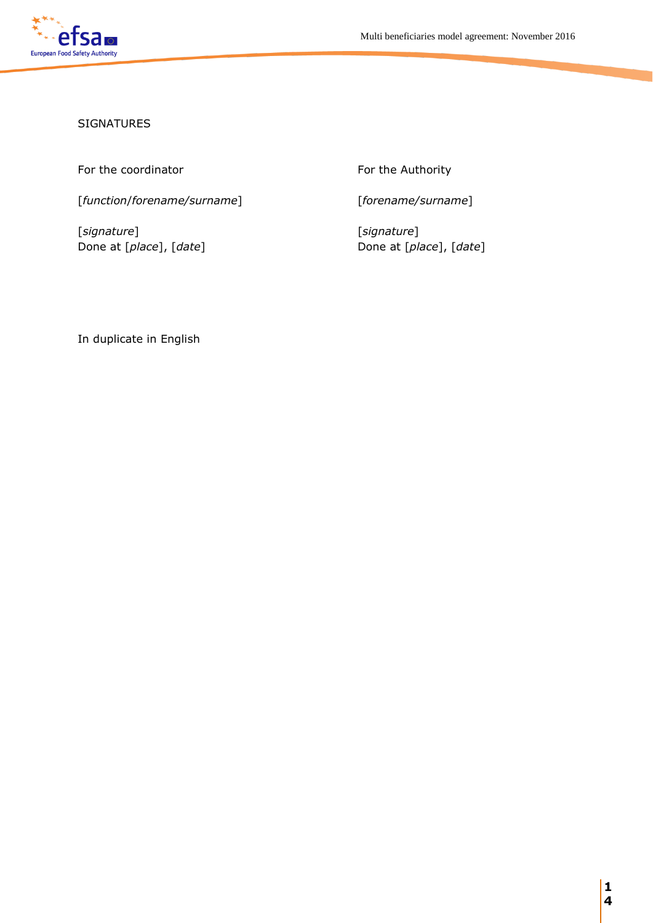

### SIGNATURES

For the coordinator For the Authority

[*function*/*forename/surname*] [*forename/surname*]

[*signature*] [*signature*] Done at [*place*], [*date*] Done at [*place*], [*date*]

In duplicate in English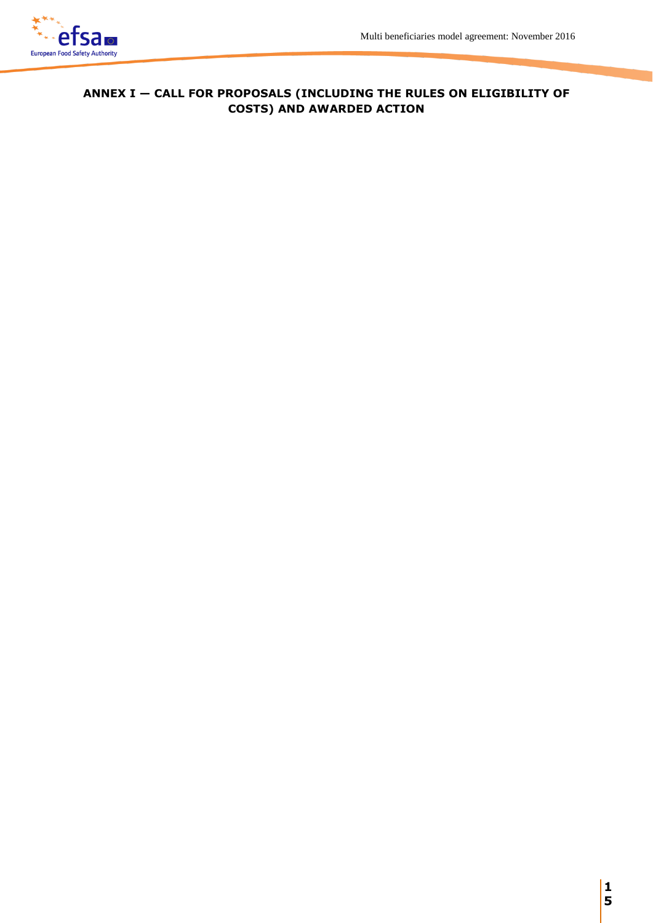

# **ANNEX I — CALL FOR PROPOSALS (INCLUDING THE RULES ON ELIGIBILITY OF COSTS) AND AWARDED ACTION**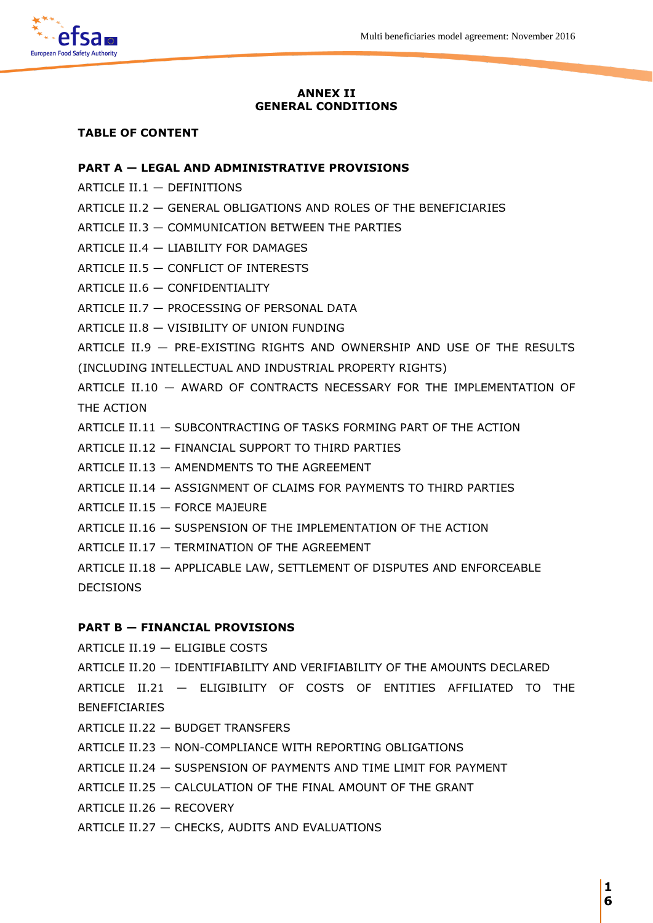

#### **ANNEX II GENERAL CONDITIONS**

#### **TABLE OF CONTENT**

#### **PART A — LEGAL AND ADMINISTRATIVE PROVISIONS**

- ARTICLE II.1 DEFINITIONS
- ARTICLE II.2 GENERAL OBLIGATIONS AND ROLES OF THE BENEFICIARIES
- ARTICLE II.3 COMMUNICATION BETWEEN THE PARTIES
- ARTICLE II.4 LIABILITY FOR DAMAGES
- ARTICLE II.5 CONFLICT OF INTERESTS
- ARTICLE II.6 CONFIDENTIALITY
- ARTICLE II.7 PROCESSING OF PERSONAL DATA
- ARTICLE II.8 VISIBILITY OF UNION FUNDING

ARTICLE II.9 — PRE-EXISTING RIGHTS AND OWNERSHIP AND USE OF THE RESULTS (INCLUDING INTELLECTUAL AND INDUSTRIAL PROPERTY RIGHTS)

ARTICLE II.10 — AWARD OF CONTRACTS NECESSARY FOR THE IMPLEMENTATION OF THE ACTION

- ARTICLE II.11 SUBCONTRACTING OF TASKS FORMING PART OF THE ACTION
- ARTICLE II.12 FINANCIAL SUPPORT TO THIRD PARTIES
- ARTICLE II.13 AMENDMENTS TO THE AGREEMENT
- ARTICLE II.14 ASSIGNMENT OF CLAIMS FOR PAYMENTS TO THIRD PARTIES
- ARTICLE II.15 FORCE MAJEURE
- ARTICLE II.16 SUSPENSION OF THE IMPLEMENTATION OF THE ACTION
- ARTICLE II.17 TERMINATION OF THE AGREEMENT
- ARTICLE II.18 APPLICABLE LAW, SETTLEMENT OF DISPUTES AND ENFORCEABLE DECISIONS

#### **PART B — FINANCIAL PROVISIONS**

ARTICLE II.19 — ELIGIBLE COSTS

ARTICLE II.20 — IDENTIFIABILITY AND VERIFIABILITY OF THE AMOUNTS DECLARED

ARTICLE II.21 — ELIGIBILITY OF COSTS OF ENTITIES AFFILIATED TO THE BENEFICIARIES

- ARTICLE II.22 BUDGET TRANSFERS
- ARTICLE II.23 NON-COMPLIANCE WITH REPORTING OBLIGATIONS
- ARTICLE II.24 SUSPENSION OF PAYMENTS AND TIME LIMIT FOR PAYMENT
- ARTICLE II.25 CALCULATION OF THE FINAL AMOUNT OF THE GRANT
- ARTICLE II.26 RECOVERY
- ARTICLE II.27 CHECKS, AUDITS AND EVALUATIONS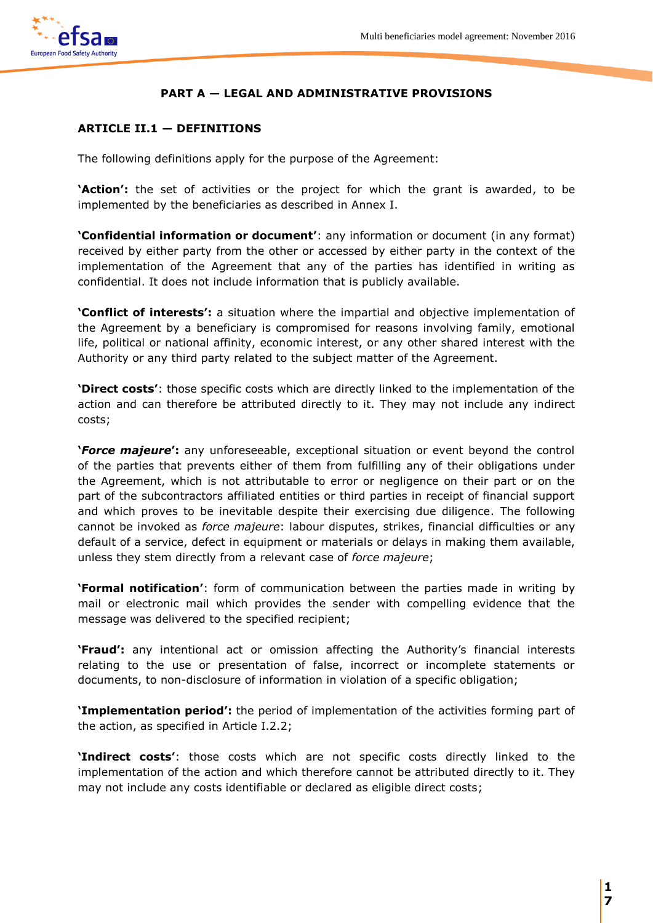

# **PART A — LEGAL AND ADMINISTRATIVE PROVISIONS**

### **ARTICLE II.1 — DEFINITIONS**

The following definitions apply for the purpose of the Agreement:

**'Action':** the set of activities or the project for which the grant is awarded, to be implemented by the beneficiaries as described in Annex I.

**'Confidential information or document'**: any information or document (in any format) received by either party from the other or accessed by either party in the context of the implementation of the Agreement that any of the parties has identified in writing as confidential. It does not include information that is publicly available.

**'Conflict of interests':** a situation where the impartial and objective implementation of the Agreement by a beneficiary is compromised for reasons involving family, emotional life, political or national affinity, economic interest, or any other shared interest with the Authority or any third party related to the subject matter of the Agreement.

**'Direct costs'**: those specific costs which are directly linked to the implementation of the action and can therefore be attributed directly to it. They may not include any indirect costs;

**'***Force majeure***':** any unforeseeable, exceptional situation or event beyond the control of the parties that prevents either of them from fulfilling any of their obligations under the Agreement, which is not attributable to error or negligence on their part or on the part of the subcontractors affiliated entities or third parties in receipt of financial support and which proves to be inevitable despite their exercising due diligence. The following cannot be invoked as *force majeure*: labour disputes, strikes, financial difficulties or any default of a service, defect in equipment or materials or delays in making them available, unless they stem directly from a relevant case of *force majeure*;

**'Formal notification'**: form of communication between the parties made in writing by mail or electronic mail which provides the sender with compelling evidence that the message was delivered to the specified recipient;

**'Fraud':** any intentional act or omission affecting the Authority's financial interests relating to the use or presentation of false, incorrect or incomplete statements or documents, to non-disclosure of information in violation of a specific obligation;

**'Implementation period':** the period of implementation of the activities forming part of the action, as specified in Article I.2.2;

**'Indirect costs'**: those costs which are not specific costs directly linked to the implementation of the action and which therefore cannot be attributed directly to it. They may not include any costs identifiable or declared as eligible direct costs;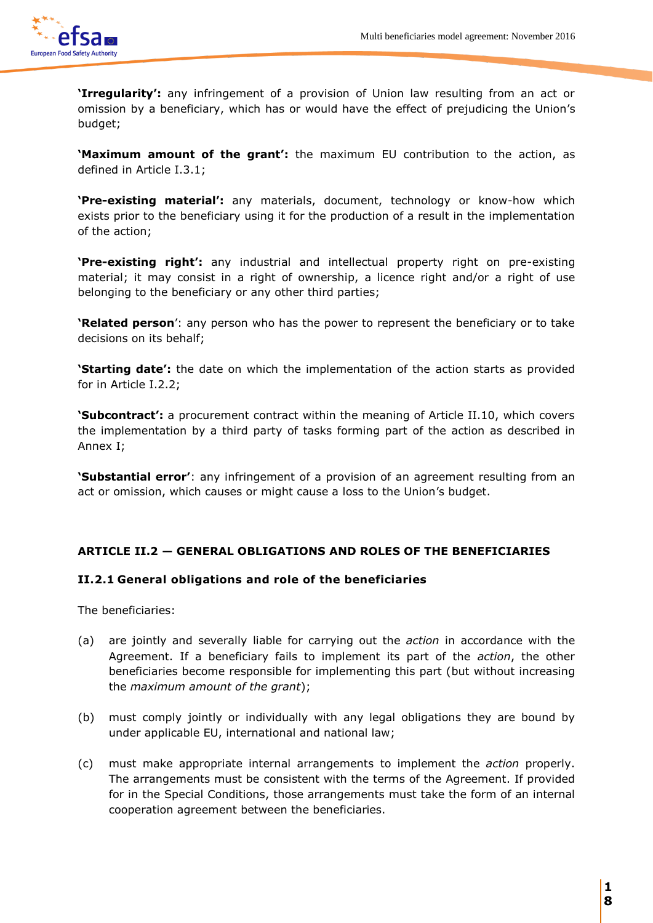

**'Irregularity':** any infringement of a provision of Union law resulting from an act or omission by a beneficiary, which has or would have the effect of prejudicing the Union's budget;

**'Maximum amount of the grant':** the maximum EU contribution to the action, as defined in Article I.3.1;

**'Pre-existing material':** any materials, document, technology or know-how which exists prior to the beneficiary using it for the production of a result in the implementation of the action;

**'Pre-existing right':** any industrial and intellectual property right on pre-existing material; it may consist in a right of ownership, a licence right and/or a right of use belonging to the beneficiary or any other third parties;

**'Related person**': any person who has the power to represent the beneficiary or to take decisions on its behalf;

**'Starting date':** the date on which the implementation of the action starts as provided for in Article I.2.2;

**'Subcontract':** a procurement contract within the meaning of Article II.10, which covers the implementation by a third party of tasks forming part of the action as described in Annex I;

**'Substantial error'**: any infringement of a provision of an agreement resulting from an act or omission, which causes or might cause a loss to the Union's budget.

# **ARTICLE II.2 — GENERAL OBLIGATIONS AND ROLES OF THE BENEFICIARIES**

# **II.2.1 General obligations and role of the beneficiaries**

The beneficiaries:

- (a) are jointly and severally liable for carrying out the *action* in accordance with the Agreement. If a beneficiary fails to implement its part of the *action*, the other beneficiaries become responsible for implementing this part (but without increasing the *maximum amount of the grant*);
- (b) must comply jointly or individually with any legal obligations they are bound by under applicable EU, international and national law;
- (c) must make appropriate internal arrangements to implement the *action* properly. The arrangements must be consistent with the terms of the Agreement. If provided for in the Special Conditions, those arrangements must take the form of an internal cooperation agreement between the beneficiaries.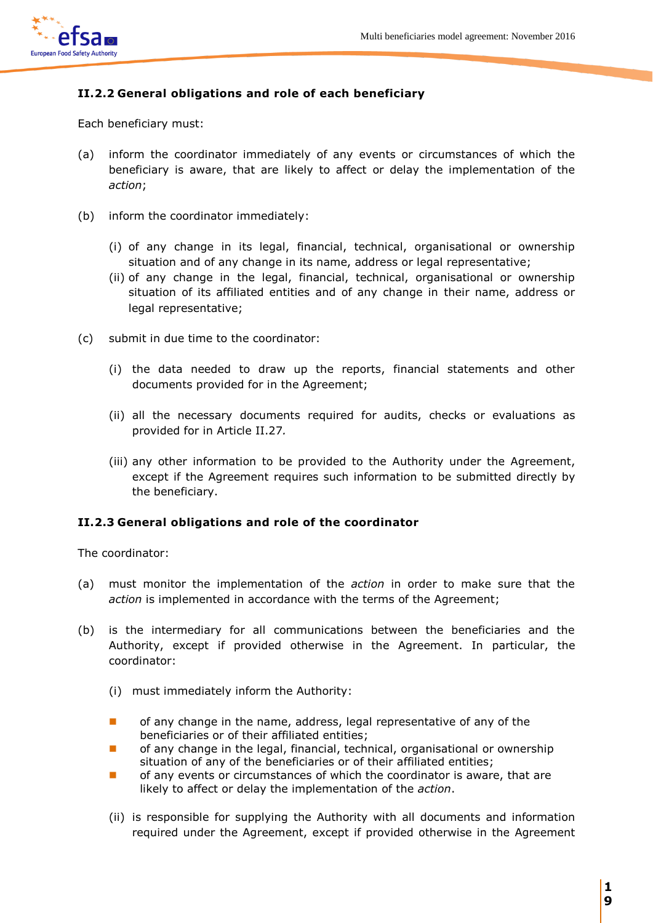

# **II.2.2 General obligations and role of each beneficiary**

Each beneficiary must:

- (a) inform the coordinator immediately of any events or circumstances of which the beneficiary is aware, that are likely to affect or delay the implementation of the *action*;
- (b) inform the coordinator immediately:
	- (i) of any change in its legal, financial, technical, organisational or ownership situation and of any change in its name, address or legal representative;
	- (ii) of any change in the legal, financial, technical, organisational or ownership situation of its affiliated entities and of any change in their name, address or legal representative;
- (c) submit in due time to the coordinator:
	- (i) the data needed to draw up the reports, financial statements and other documents provided for in the Agreement;
	- (ii) all the necessary documents required for audits, checks or evaluations as provided for in Article II.27*.*
	- (iii) any other information to be provided to the Authority under the Agreement, except if the Agreement requires such information to be submitted directly by the beneficiary.

# **II.2.3 General obligations and role of the coordinator**

The coordinator:

- (a) must monitor the implementation of the *action* in order to make sure that the *action* is implemented in accordance with the terms of the Agreement;
- (b) is the intermediary for all communications between the beneficiaries and the Authority, except if provided otherwise in the Agreement. In particular, the coordinator:
	- (i) must immediately inform the Authority:
	- **n** of any change in the name, address, legal representative of any of the beneficiaries or of their affiliated entities;
	- **T** of any change in the legal, financial, technical, organisational or ownership situation of any of the beneficiaries or of their affiliated entities;
	- **Dum** of any events or circumstances of which the coordinator is aware, that are likely to affect or delay the implementation of the *action*.
	- (ii) is responsible for supplying the Authority with all documents and information required under the Agreement, except if provided otherwise in the Agreement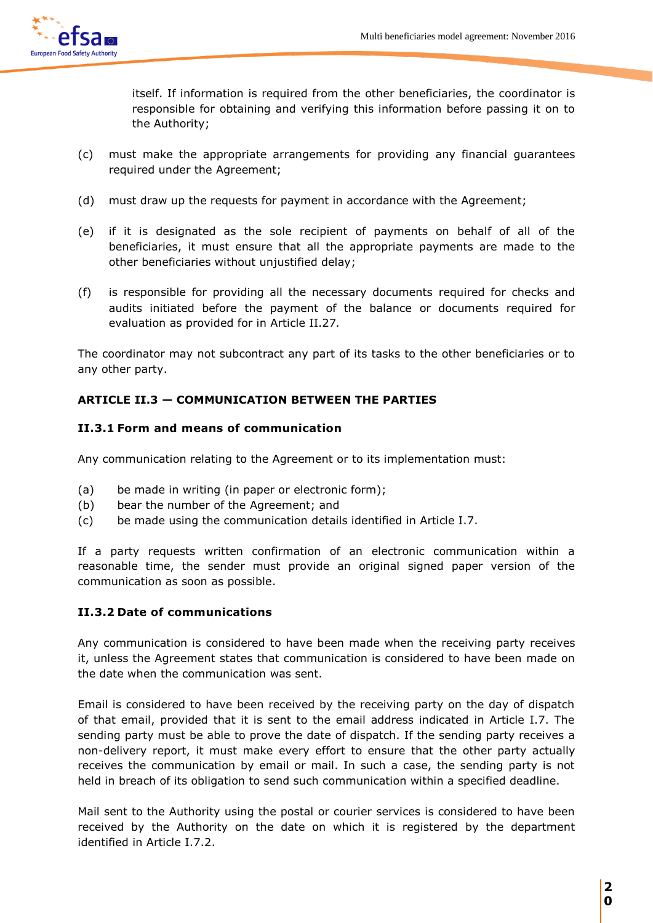

itself. If information is required from the other beneficiaries, the coordinator is responsible for obtaining and verifying this information before passing it on to the Authority;

- (c) must make the appropriate arrangements for providing any financial guarantees required under the Agreement;
- (d) must draw up the requests for payment in accordance with the Agreement;
- (e) if it is designated as the sole recipient of payments on behalf of all of the beneficiaries, it must ensure that all the appropriate payments are made to the other beneficiaries without unjustified delay;
- (f) is responsible for providing all the necessary documents required for checks and audits initiated before the payment of the balance or documents required for evaluation as provided for in Article II.27*.*

The coordinator may not subcontract any part of its tasks to the other beneficiaries or to any other party.

# **ARTICLE II.3 — COMMUNICATION BETWEEN THE PARTIES**

### **II.3.1 Form and means of communication**

Any communication relating to the Agreement or to its implementation must:

- (a) be made in writing (in paper or electronic form);
- (b) bear the number of the Agreement; and
- (c) be made using the communication details identified in Article I.7.

If a party requests written confirmation of an electronic communication within a reasonable time, the sender must provide an original signed paper version of the communication as soon as possible.

# **II.3.2 Date of communications**

Any communication is considered to have been made when the receiving party receives it, unless the Agreement states that communication is considered to have been made on the date when the communication was sent.

Email is considered to have been received by the receiving party on the day of dispatch of that email, provided that it is sent to the email address indicated in Article I.7. The sending party must be able to prove the date of dispatch. If the sending party receives a non-delivery report, it must make every effort to ensure that the other party actually receives the communication by email or mail. In such a case, the sending party is not held in breach of its obligation to send such communication within a specified deadline.

Mail sent to the Authority using the postal or courier services is considered to have been received by the Authority on the date on which it is registered by the department identified in Article I.7.2.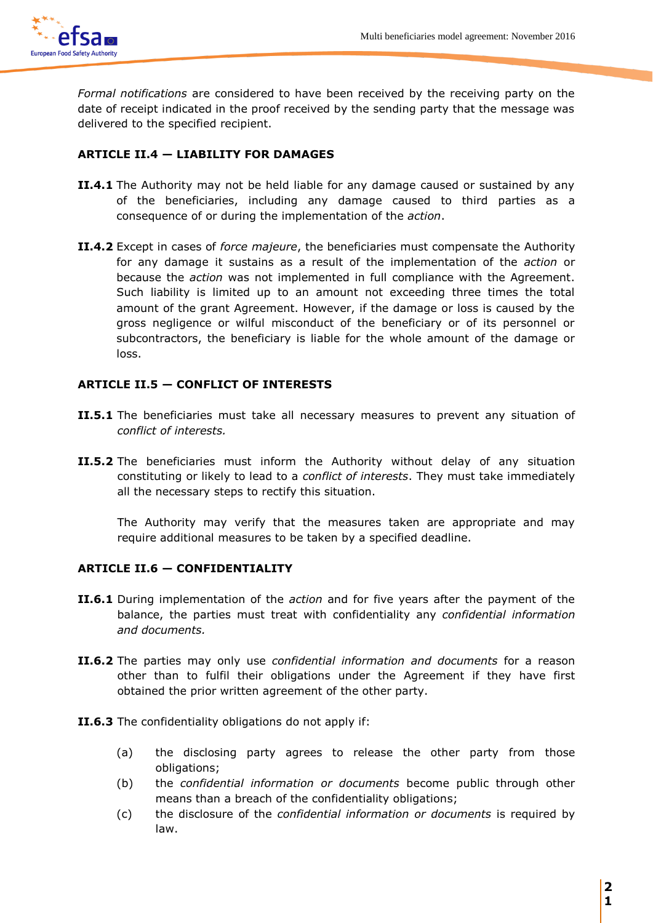

*Formal notifications* are considered to have been received by the receiving party on the date of receipt indicated in the proof received by the sending party that the message was delivered to the specified recipient.

# **ARTICLE II.4 — LIABILITY FOR DAMAGES**

- **II.4.1** The Authority may not be held liable for any damage caused or sustained by any of the beneficiaries, including any damage caused to third parties as a consequence of or during the implementation of the *action*.
- **II.4.2** Except in cases of *force majeure*, the beneficiaries must compensate the Authority for any damage it sustains as a result of the implementation of the *action* or because the *action* was not implemented in full compliance with the Agreement. Such liability is limited up to an amount not exceeding three times the total amount of the grant Agreement. However, if the damage or loss is caused by the gross negligence or wilful misconduct of the beneficiary or of its personnel or subcontractors, the beneficiary is liable for the whole amount of the damage or loss.

# **ARTICLE II.5 — CONFLICT OF INTERESTS**

- **II.5.1** The beneficiaries must take all necessary measures to prevent any situation of *conflict of interests.*
- **II.5.2** The beneficiaries must inform the Authority without delay of any situation constituting or likely to lead to a *conflict of interests*. They must take immediately all the necessary steps to rectify this situation.

The Authority may verify that the measures taken are appropriate and may require additional measures to be taken by a specified deadline.

# **ARTICLE II.6 — CONFIDENTIALITY**

- **II.6.1** During implementation of the *action* and for five years after the payment of the balance, the parties must treat with confidentiality any *confidential information and documents.*
- **II.6.2** The parties may only use *confidential information and documents* for a reason other than to fulfil their obligations under the Agreement if they have first obtained the prior written agreement of the other party.

**II.6.3** The confidentiality obligations do not apply if:

- (a) the disclosing party agrees to release the other party from those obligations;
- (b) the *confidential information or documents* become public through other means than a breach of the confidentiality obligations;
- (c) the disclosure of the *confidential information or documents* is required by law.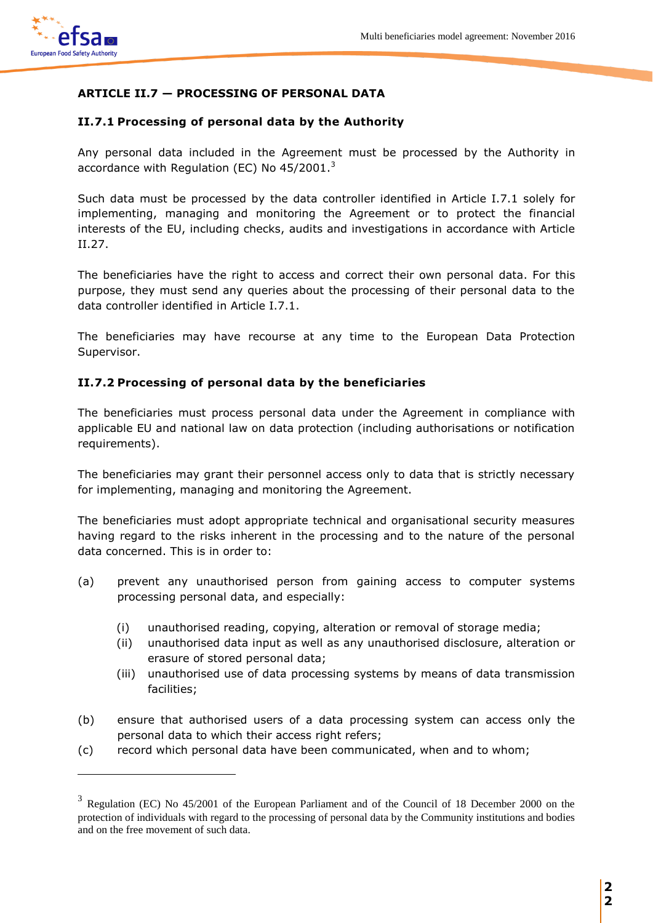

 $\overline{a}$ 

# **ARTICLE II.7 — PROCESSING OF PERSONAL DATA**

# **II.7.1 Processing of personal data by the Authority**

Any personal data included in the Agreement must be processed by the Authority in accordance with Regulation (EC) No 45/2001.<sup>3</sup>

Such data must be processed by the data controller identified in Article I.7.1 solely for implementing, managing and monitoring the Agreement or to protect the financial interests of the EU, including checks, audits and investigations in accordance with Article II.27.

The beneficiaries have the right to access and correct their own personal data. For this purpose, they must send any queries about the processing of their personal data to the data controller identified in Article I.7.1.

The beneficiaries may have recourse at any time to the European Data Protection Supervisor.

# **II.7.2 Processing of personal data by the beneficiaries**

The beneficiaries must process personal data under the Agreement in compliance with applicable EU and national law on data protection (including authorisations or notification requirements).

The beneficiaries may grant their personnel access only to data that is strictly necessary for implementing, managing and monitoring the Agreement.

The beneficiaries must adopt appropriate technical and organisational security measures having regard to the risks inherent in the processing and to the nature of the personal data concerned. This is in order to:

- (a) prevent any unauthorised person from gaining access to computer systems processing personal data, and especially:
	- (i) unauthorised reading, copying, alteration or removal of storage media;
	- (ii) unauthorised data input as well as any unauthorised disclosure, alteration or erasure of stored personal data;
	- (iii) unauthorised use of data processing systems by means of data transmission facilities;
- (b) ensure that authorised users of a data processing system can access only the personal data to which their access right refers;
- (c) record which personal data have been communicated, when and to whom;

 $3$  Regulation (EC) No 45/2001 of the European Parliament and of the Council of 18 December 2000 on the protection of individuals with regard to the processing of personal data by the Community institutions and bodies and on the free movement of such data.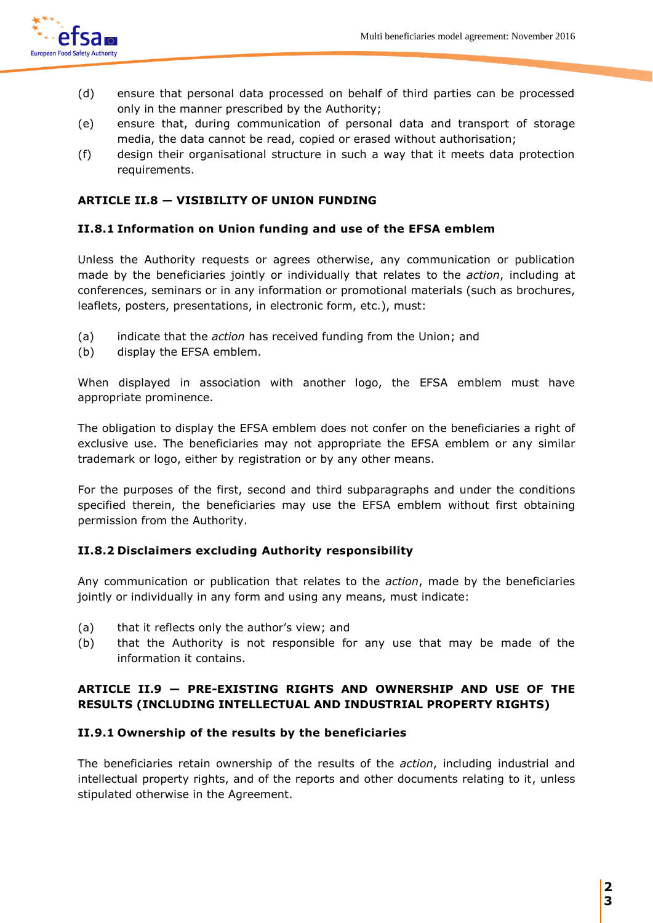

- (d) ensure that personal data processed on behalf of third parties can be processed only in the manner prescribed by the Authority;
- (e) ensure that, during communication of personal data and transport of storage media, the data cannot be read, copied or erased without authorisation;
- (f) design their organisational structure in such a way that it meets data protection requirements.

# **ARTICLE II.8 — VISIBILITY OF UNION FUNDING**

### **II.8.1 Information on Union funding and use of the EFSA emblem**

Unless the Authority requests or agrees otherwise, any communication or publication made by the beneficiaries jointly or individually that relates to the *action*, including at conferences, seminars or in any information or promotional materials (such as brochures, leaflets, posters, presentations, in electronic form, etc.), must:

- (a) indicate that the *action* has received funding from the Union; and
- (b) display the EFSA emblem.

When displayed in association with another logo, the EFSA emblem must have appropriate prominence.

The obligation to display the EFSA emblem does not confer on the beneficiaries a right of exclusive use. The beneficiaries may not appropriate the EFSA emblem or any similar trademark or logo, either by registration or by any other means.

For the purposes of the first, second and third subparagraphs and under the conditions specified therein, the beneficiaries may use the EFSA emblem without first obtaining permission from the Authority.

# **II.8.2 Disclaimers excluding Authority responsibility**

Any communication or publication that relates to the *action*, made by the beneficiaries jointly or individually in any form and using any means, must indicate:

- (a) that it reflects only the author's view; and
- (b) that the Authority is not responsible for any use that may be made of the information it contains.

# **ARTICLE II.9 — PRE-EXISTING RIGHTS AND OWNERSHIP AND USE OF THE RESULTS (INCLUDING INTELLECTUAL AND INDUSTRIAL PROPERTY RIGHTS)**

#### **II.9.1 Ownership of the results by the beneficiaries**

The beneficiaries retain ownership of the results of the *action*, including industrial and intellectual property rights, and of the reports and other documents relating to it, unless stipulated otherwise in the Agreement.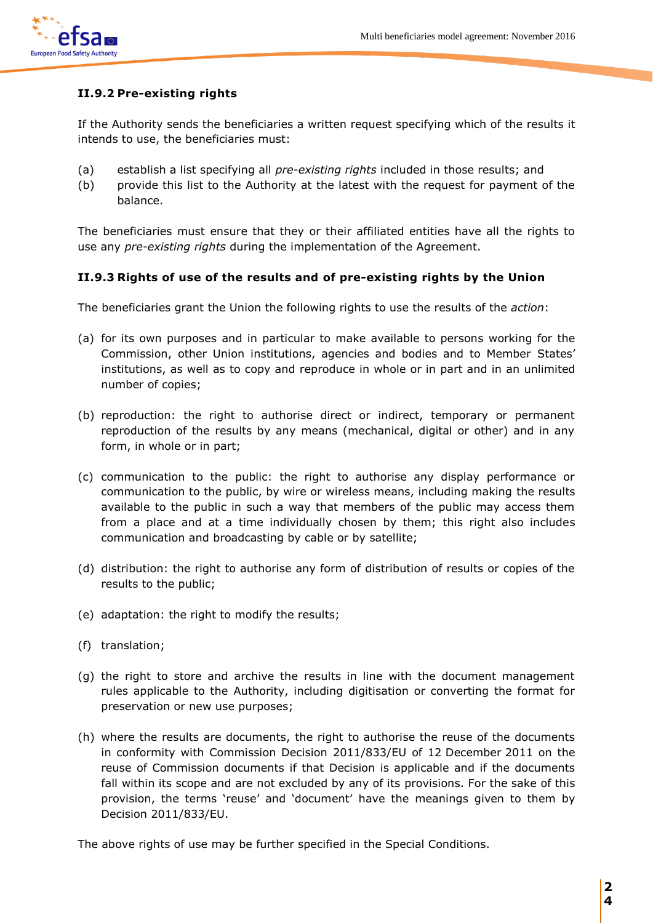

# **II.9.2 Pre-existing rights**

If the Authority sends the beneficiaries a written request specifying which of the results it intends to use, the beneficiaries must:

- (a) establish a list specifying all *pre-existing rights* included in those results; and
- (b) provide this list to the Authority at the latest with the request for payment of the balance.

The beneficiaries must ensure that they or their affiliated entities have all the rights to use any *pre-existing rights* during the implementation of the Agreement.

# **II.9.3 Rights of use of the results and of pre-existing rights by the Union**

The beneficiaries grant the Union the following rights to use the results of the *action*:

- (a) for its own purposes and in particular to make available to persons working for the Commission, other Union institutions, agencies and bodies and to Member States' institutions, as well as to copy and reproduce in whole or in part and in an unlimited number of copies;
- (b) reproduction: the right to authorise direct or indirect, temporary or permanent reproduction of the results by any means (mechanical, digital or other) and in any form, in whole or in part;
- (c) communication to the public: the right to authorise any display performance or communication to the public, by wire or wireless means, including making the results available to the public in such a way that members of the public may access them from a place and at a time individually chosen by them; this right also includes communication and broadcasting by cable or by satellite;
- (d) distribution: the right to authorise any form of distribution of results or copies of the results to the public;
- (e) adaptation: the right to modify the results;
- (f) translation;
- (g) the right to store and archive the results in line with the document management rules applicable to the Authority, including digitisation or converting the format for preservation or new use purposes;
- (h) where the results are documents, the right to authorise the reuse of the documents in conformity with Commission Decision 2011/833/EU of 12 December 2011 on the reuse of Commission documents if that Decision is applicable and if the documents fall within its scope and are not excluded by any of its provisions. For the sake of this provision, the terms 'reuse' and 'document' have the meanings given to them by Decision 2011/833/EU.

The above rights of use may be further specified in the Special Conditions.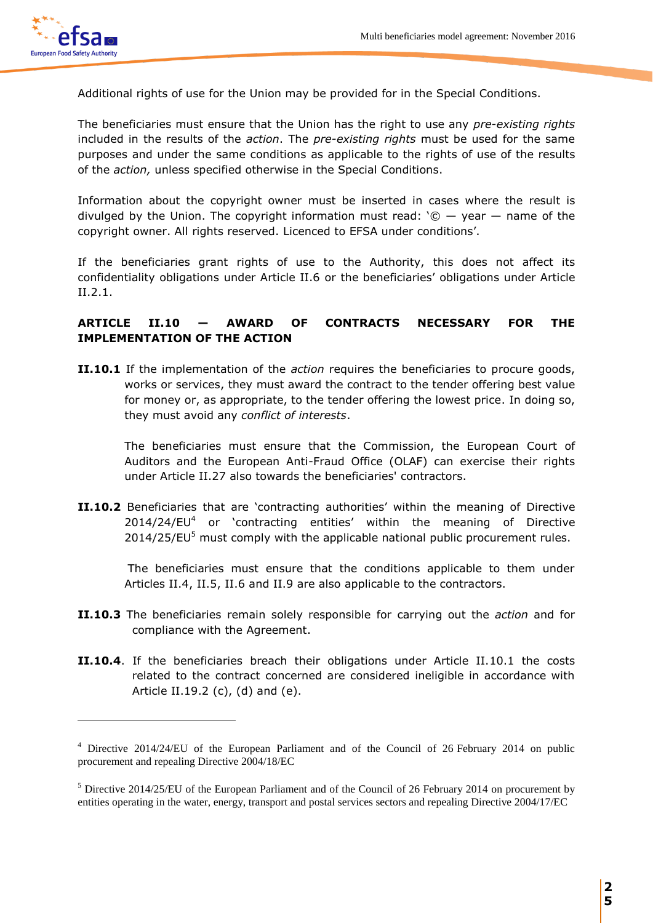

 $\overline{a}$ 

Additional rights of use for the Union may be provided for in the Special Conditions.

The beneficiaries must ensure that the Union has the right to use any *pre-existing rights* included in the results of the *action*. The *pre-existing rights* must be used for the same purposes and under the same conditions as applicable to the rights of use of the results of the *action,* unless specified otherwise in the Special Conditions.

Information about the copyright owner must be inserted in cases where the result is divulged by the Union. The copyright information must read:  $\degree$   $\degree$   $-$  year  $-$  name of the copyright owner. All rights reserved. Licenced to EFSA under conditions'.

If the beneficiaries grant rights of use to the Authority, this does not affect its confidentiality obligations under Article II.6 or the beneficiaries' obligations under Article II.2.1.

# **ARTICLE II.10 — AWARD OF CONTRACTS NECESSARY FOR THE IMPLEMENTATION OF THE ACTION**

**II.10.1** If the implementation of the *action* requires the beneficiaries to procure goods, works or services, they must award the contract to the tender offering best value for money or, as appropriate, to the tender offering the lowest price. In doing so, they must avoid any *conflict of interests*.

The beneficiaries must ensure that the Commission, the European Court of Auditors and the European Anti-Fraud Office (OLAF) can exercise their rights under Article II.27 also towards the beneficiaries' contractors.

**II.10.2** Beneficiaries that are 'contracting authorities' within the meaning of Directive 2014/24/EU<sup>4</sup> or 'contracting entities' within the meaning of Directive 2014/25/EU<sup>5</sup> must comply with the applicable national public procurement rules.

 The beneficiaries must ensure that the conditions applicable to them under Articles II.4, II.5, II.6 and II.9 are also applicable to the contractors.

- **II.10.3** The beneficiaries remain solely responsible for carrying out the *action* and for compliance with the Agreement.
- **II.10.4**. If the beneficiaries breach their obligations under Article II.10.1 the costs related to the contract concerned are considered ineligible in accordance with Article II.19.2 (c), (d) and (e).

<sup>&</sup>lt;sup>4</sup> Directive 2014/24/EU of the European Parliament and of the Council of 26 February 2014 on public procurement and repealing Directive 2004/18/EC

<sup>5</sup> Directive 2014/25/EU of the European Parliament and of the Council of 26 February 2014 on procurement by entities operating in the water, energy, transport and postal services sectors and repealing Directive 2004/17/EC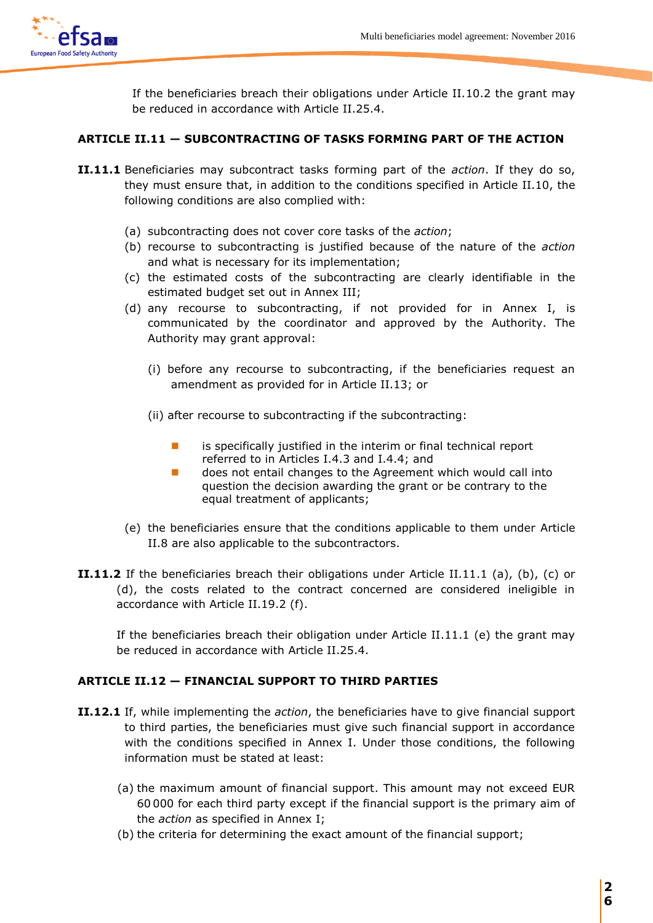

If the beneficiaries breach their obligations under Article II.10.2 the grant may be reduced in accordance with Article II.25.4.

# **ARTICLE II.11 — SUBCONTRACTING OF TASKS FORMING PART OF THE ACTION**

- **II.11.1** Beneficiaries may subcontract tasks forming part of the *action*. If they do so, they must ensure that, in addition to the conditions specified in Article II.10, the following conditions are also complied with:
	- (a) subcontracting does not cover core tasks of the *action*;
	- (b) recourse to subcontracting is justified because of the nature of the *action* and what is necessary for its implementation;
	- (c) the estimated costs of the subcontracting are clearly identifiable in the estimated budget set out in Annex III;
	- (d) any recourse to subcontracting, if not provided for in Annex I, is communicated by the coordinator and approved by the Authority. The Authority may grant approval:
		- (i) before any recourse to subcontracting, if the beneficiaries request an amendment as provided for in Article II.13; or
		- (ii) after recourse to subcontracting if the subcontracting:
			- $\blacksquare$  is specifically justified in the interim or final technical report referred to in Articles I.4.3 and I.4.4; and
			- **does not entail changes to the Agreement which would call into** question the decision awarding the grant or be contrary to the equal treatment of applicants;
	- (e) the beneficiaries ensure that the conditions applicable to them under Article II.8 are also applicable to the subcontractors.
- **II.11.2** If the beneficiaries breach their obligations under Article II.11.1 (a), (b), (c) or (d), the costs related to the contract concerned are considered ineligible in accordance with Article II.19.2 (f).

If the beneficiaries breach their obligation under Article II.11.1 (e) the grant may be reduced in accordance with Article II.25.4.

# **ARTICLE II.12 — FINANCIAL SUPPORT TO THIRD PARTIES**

- **II.12.1** If, while implementing the *action*, the beneficiaries have to give financial support to third parties, the beneficiaries must give such financial support in accordance with the conditions specified in Annex I. Under those conditions, the following information must be stated at least:
	- (a) the maximum amount of financial support. This amount may not exceed EUR 60 000 for each third party except if the financial support is the primary aim of the *action* as specified in Annex I;
	- (b) the criteria for determining the exact amount of the financial support;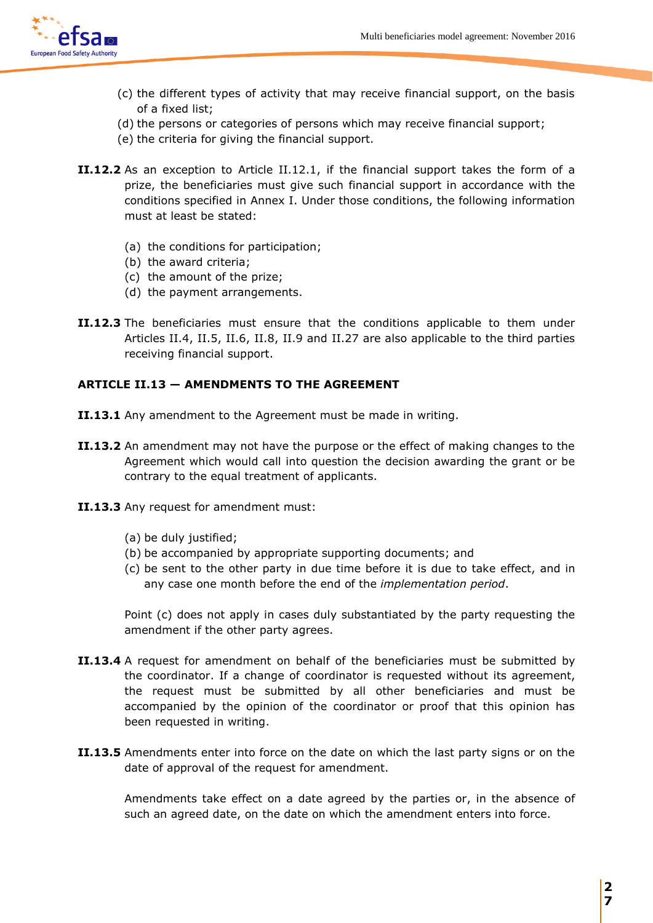

- (c) the different types of activity that may receive financial support, on the basis of a fixed list;
- (d) the persons or categories of persons which may receive financial support;
- (e) the criteria for giving the financial support.
- **II.12.2** As an exception to Article II.12.1, if the financial support takes the form of a prize, the beneficiaries must give such financial support in accordance with the conditions specified in Annex I. Under those conditions, the following information must at least be stated:
	- (a) the conditions for participation;
	- (b) the award criteria;
	- (c) the amount of the prize;
	- (d) the payment arrangements.
- **II.12.3** The beneficiaries must ensure that the conditions applicable to them under Articles II.4, II.5, II.6, II.8, II.9 and II.27 are also applicable to the third parties receiving financial support.

### **ARTICLE II.13 — AMENDMENTS TO THE AGREEMENT**

- **II.13.1** Any amendment to the Agreement must be made in writing.
- **II.13.2** An amendment may not have the purpose or the effect of making changes to the Agreement which would call into question the decision awarding the grant or be contrary to the equal treatment of applicants.
- **II.13.3** Any request for amendment must:
	- (a) be duly justified;
	- (b) be accompanied by appropriate supporting documents; and
	- (c) be sent to the other party in due time before it is due to take effect, and in any case one month before the end of the *implementation period*.

Point (c) does not apply in cases duly substantiated by the party requesting the amendment if the other party agrees.

- **II.13.4** A request for amendment on behalf of the beneficiaries must be submitted by the coordinator. If a change of coordinator is requested without its agreement, the request must be submitted by all other beneficiaries and must be accompanied by the opinion of the coordinator or proof that this opinion has been requested in writing.
- **II.13.5** Amendments enter into force on the date on which the last party signs or on the date of approval of the request for amendment.

Amendments take effect on a date agreed by the parties or, in the absence of such an agreed date, on the date on which the amendment enters into force.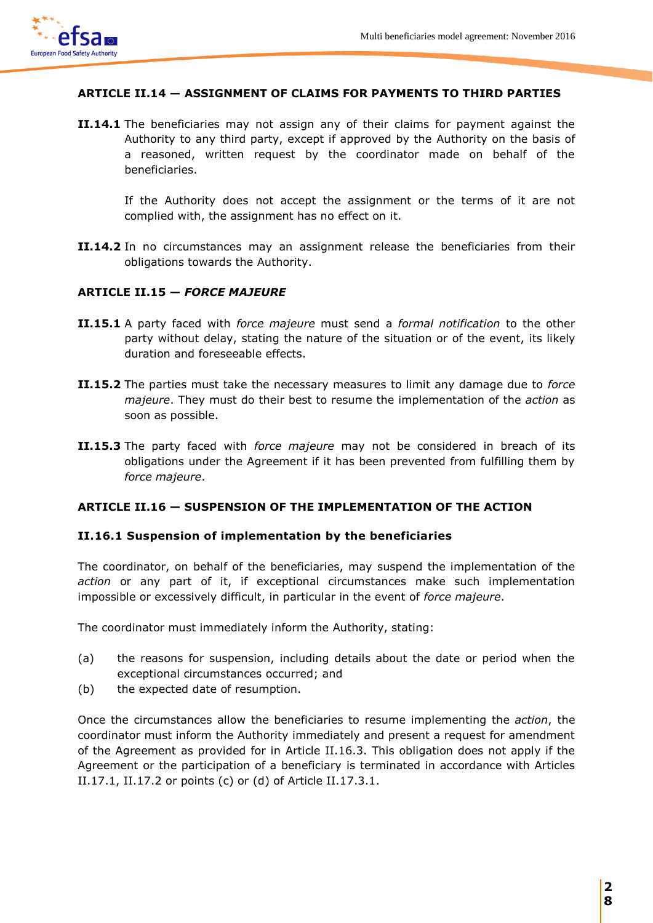

### **ARTICLE II.14 — ASSIGNMENT OF CLAIMS FOR PAYMENTS TO THIRD PARTIES**

**II.14.1** The beneficiaries may not assign any of their claims for payment against the Authority to any third party, except if approved by the Authority on the basis of a reasoned, written request by the coordinator made on behalf of the beneficiaries.

If the Authority does not accept the assignment or the terms of it are not complied with, the assignment has no effect on it.

**II.14.2** In no circumstances may an assignment release the beneficiaries from their obligations towards the Authority.

### **ARTICLE II.15 —** *FORCE MAJEURE*

- **II.15.1** A party faced with *force majeure* must send a *formal notification* to the other party without delay, stating the nature of the situation or of the event, its likely duration and foreseeable effects.
- **II.15.2** The parties must take the necessary measures to limit any damage due to *force majeure*. They must do their best to resume the implementation of the *action* as soon as possible.
- **II.15.3** The party faced with *force majeure* may not be considered in breach of its obligations under the Agreement if it has been prevented from fulfilling them by *force majeure*.

#### **ARTICLE II.16 — SUSPENSION OF THE IMPLEMENTATION OF THE ACTION**

#### **II.16.1 Suspension of implementation by the beneficiaries**

The coordinator, on behalf of the beneficiaries, may suspend the implementation of the *action* or any part of it, if exceptional circumstances make such implementation impossible or excessively difficult, in particular in the event of *force majeure*.

The coordinator must immediately inform the Authority, stating:

- (a) the reasons for suspension, including details about the date or period when the exceptional circumstances occurred; and
- (b) the expected date of resumption.

Once the circumstances allow the beneficiaries to resume implementing the *action*, the coordinator must inform the Authority immediately and present a request for amendment of the Agreement as provided for in Article II.16.3. This obligation does not apply if the Agreement or the participation of a beneficiary is terminated in accordance with Articles II.17.1, II.17.2 or points (c) or (d) of Article II.17.3.1.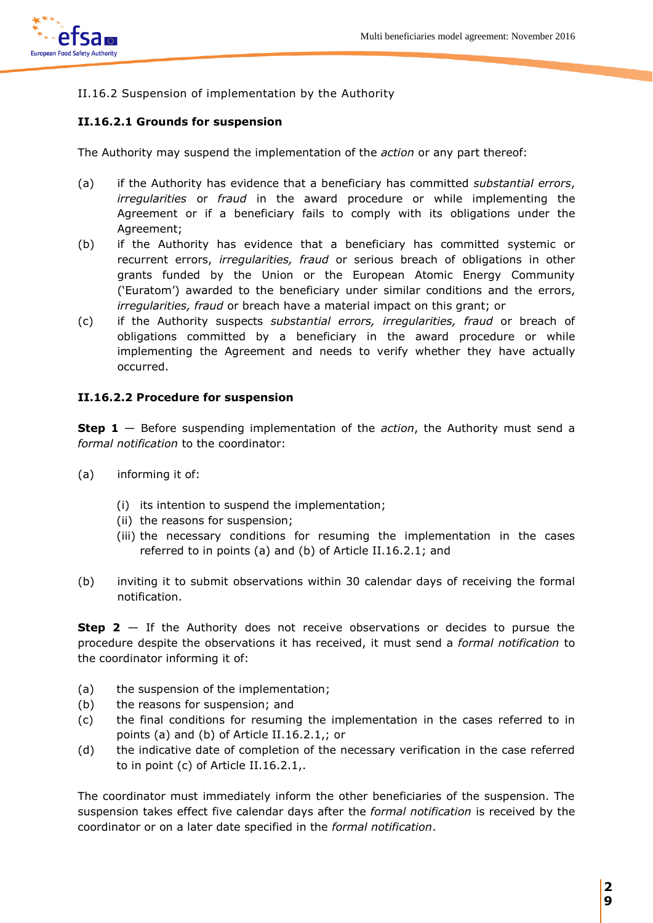

# II.16.2 Suspension of implementation by the Authority

### **II.16.2.1 Grounds for suspension**

The Authority may suspend the implementation of the *action* or any part thereof:

- (a) if the Authority has evidence that a beneficiary has committed *substantial errors*, *irregularities* or *fraud* in the award procedure or while implementing the Agreement or if a beneficiary fails to comply with its obligations under the Agreement;
- (b) if the Authority has evidence that a beneficiary has committed systemic or recurrent errors, *irregularities, fraud* or serious breach of obligations in other grants funded by the Union or the European Atomic Energy Community ('Euratom') awarded to the beneficiary under similar conditions and the errors, *irregularities, fraud* or breach have a material impact on this grant; or
- (c) if the Authority suspects *substantial errors, irregularities, fraud* or breach of obligations committed by a beneficiary in the award procedure or while implementing the Agreement and needs to verify whether they have actually occurred.

#### **II.16.2.2 Procedure for suspension**

**Step 1** — Before suspending implementation of the *action*, the Authority must send a *formal notification* to the coordinator:

- (a) informing it of:
	- (i) its intention to suspend the implementation;
	- (ii) the reasons for suspension;
	- (iii) the necessary conditions for resuming the implementation in the cases referred to in points (a) and (b) of Article II.16.2.1; and
- (b) inviting it to submit observations within 30 calendar days of receiving the formal notification.

**Step 2** — If the Authority does not receive observations or decides to pursue the procedure despite the observations it has received, it must send a *formal notification* to the coordinator informing it of:

- (a) the suspension of the implementation;
- (b) the reasons for suspension; and
- (c) the final conditions for resuming the implementation in the cases referred to in points (a) and (b) of Article II.16.2.1,; or
- (d) the indicative date of completion of the necessary verification in the case referred to in point (c) of Article II.16.2.1,.

The coordinator must immediately inform the other beneficiaries of the suspension. The suspension takes effect five calendar days after the *formal notification* is received by the coordinator or on a later date specified in the *formal notification*.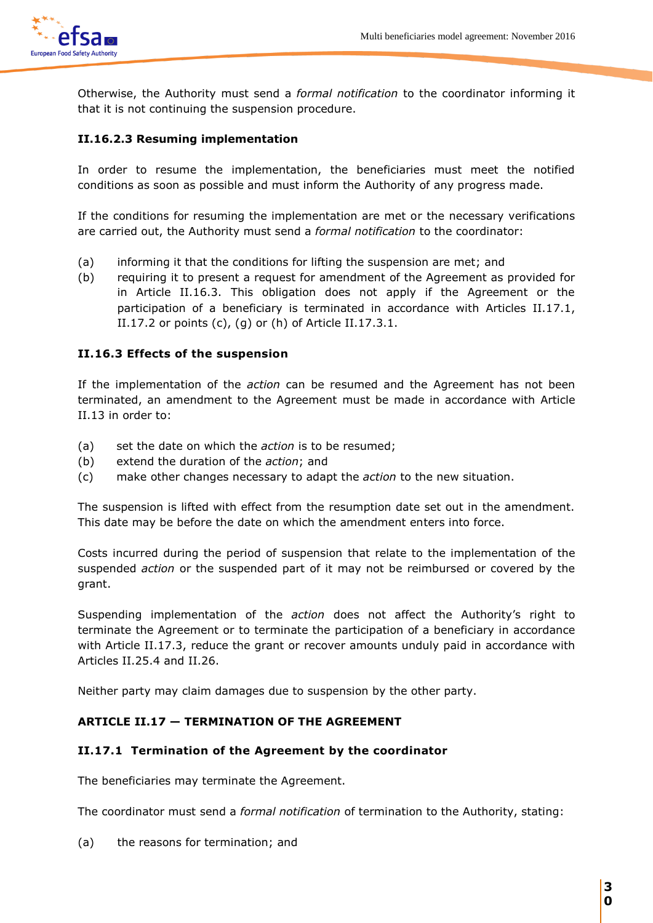

Otherwise, the Authority must send a *formal notification* to the coordinator informing it that it is not continuing the suspension procedure.

### **II.16.2.3 Resuming implementation**

In order to resume the implementation, the beneficiaries must meet the notified conditions as soon as possible and must inform the Authority of any progress made.

If the conditions for resuming the implementation are met or the necessary verifications are carried out, the Authority must send a *formal notification* to the coordinator:

- (a) informing it that the conditions for lifting the suspension are met; and
- (b) requiring it to present a request for amendment of the Agreement as provided for in Article II.16.3. This obligation does not apply if the Agreement or the participation of a beneficiary is terminated in accordance with Articles II.17.1, II.17.2 or points  $(c)$ ,  $(g)$  or  $(h)$  of Article II.17.3.1.

### **II.16.3 Effects of the suspension**

If the implementation of the *action* can be resumed and the Agreement has not been terminated, an amendment to the Agreement must be made in accordance with Article II.13 in order to:

- (a) set the date on which the *action* is to be resumed;
- (b) extend the duration of the *action*; and
- (c) make other changes necessary to adapt the *action* to the new situation.

The suspension is lifted with effect from the resumption date set out in the amendment. This date may be before the date on which the amendment enters into force.

Costs incurred during the period of suspension that relate to the implementation of the suspended *action* or the suspended part of it may not be reimbursed or covered by the grant.

Suspending implementation of the *action* does not affect the Authority's right to terminate the Agreement or to terminate the participation of a beneficiary in accordance with Article II.17.3, reduce the grant or recover amounts unduly paid in accordance with Articles II.25.4 and II.26.

Neither party may claim damages due to suspension by the other party.

# **ARTICLE II.17 — TERMINATION OF THE AGREEMENT**

#### **II.17.1 Termination of the Agreement by the coordinator**

The beneficiaries may terminate the Agreement.

The coordinator must send a *formal notification* of termination to the Authority, stating:

(a) the reasons for termination; and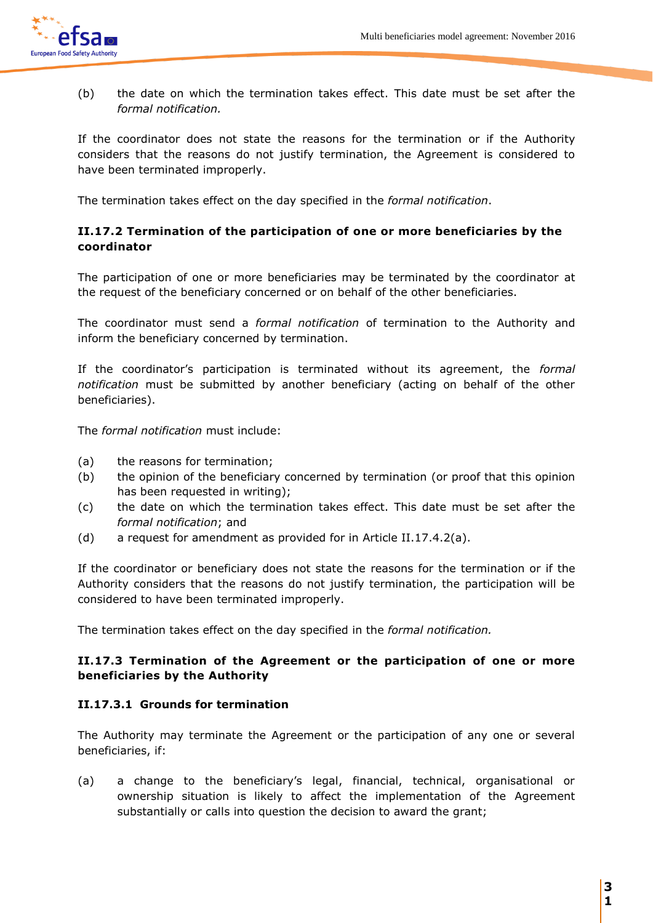

(b) the date on which the termination takes effect. This date must be set after the *formal notification.*

If the coordinator does not state the reasons for the termination or if the Authority considers that the reasons do not justify termination, the Agreement is considered to have been terminated improperly.

The termination takes effect on the day specified in the *formal notification*.

# **II.17.2 Termination of the participation of one or more beneficiaries by the coordinator**

The participation of one or more beneficiaries may be terminated by the coordinator at the request of the beneficiary concerned or on behalf of the other beneficiaries.

The coordinator must send a *formal notification* of termination to the Authority and inform the beneficiary concerned by termination.

If the coordinator's participation is terminated without its agreement, the *formal notification* must be submitted by another beneficiary (acting on behalf of the other beneficiaries).

The *formal notification* must include:

- (a) the reasons for termination;
- (b) the opinion of the beneficiary concerned by termination (or proof that this opinion has been requested in writing);
- (c) the date on which the termination takes effect. This date must be set after the *formal notification*; and
- (d) a request for amendment as provided for in Article II.17.4.2(a).

If the coordinator or beneficiary does not state the reasons for the termination or if the Authority considers that the reasons do not justify termination, the participation will be considered to have been terminated improperly.

The termination takes effect on the day specified in the *formal notification.*

# **II.17.3 Termination of the Agreement or the participation of one or more beneficiaries by the Authority**

# **II.17.3.1 Grounds for termination**

The Authority may terminate the Agreement or the participation of any one or several beneficiaries, if:

(a) a change to the beneficiary's legal, financial, technical, organisational or ownership situation is likely to affect the implementation of the Agreement substantially or calls into question the decision to award the grant;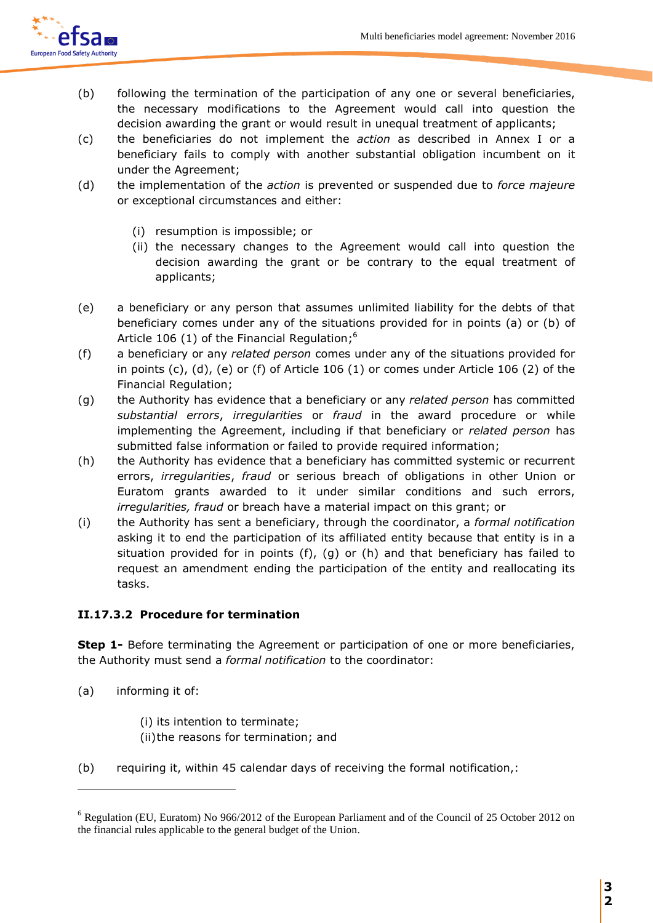

- (b) following the termination of the participation of any one or several beneficiaries, the necessary modifications to the Agreement would call into question the decision awarding the grant or would result in unequal treatment of applicants;
- (c) the beneficiaries do not implement the *action* as described in Annex I or a beneficiary fails to comply with another substantial obligation incumbent on it under the Agreement;
- (d) the implementation of the *action* is prevented or suspended due to *force majeure* or exceptional circumstances and either:
	- (i) resumption is impossible; or
	- (ii) the necessary changes to the Agreement would call into question the decision awarding the grant or be contrary to the equal treatment of applicants;
- (e) a beneficiary or any person that assumes unlimited liability for the debts of that beneficiary comes under any of the situations provided for in points (a) or (b) of Article 106 (1) of the Financial Regulation;<sup>6</sup>
- (f) a beneficiary or any *related person* comes under any of the situations provided for in points  $(c)$ ,  $(d)$ ,  $(e)$  or  $(f)$  of Article 106  $(1)$  or comes under Article 106  $(2)$  of the Financial Regulation;
- (g) the Authority has evidence that a beneficiary or any *related person* has committed *substantial errors*, *irregularities* or *fraud* in the award procedure or while implementing the Agreement, including if that beneficiary or *related person* has submitted false information or failed to provide required information;
- (h) the Authority has evidence that a beneficiary has committed systemic or recurrent errors, *irregularities*, *fraud* or serious breach of obligations in other Union or Euratom grants awarded to it under similar conditions and such errors, *irregularities, fraud* or breach have a material impact on this grant; or
- (i) the Authority has sent a beneficiary, through the coordinator, a *formal notification* asking it to end the participation of its affiliated entity because that entity is in a situation provided for in points  $(f)$ ,  $(g)$  or  $(h)$  and that beneficiary has failed to request an amendment ending the participation of the entity and reallocating its tasks.

# **II.17.3.2 Procedure for termination**

**Step 1-** Before terminating the Agreement or participation of one or more beneficiaries, the Authority must send a *formal notification* to the coordinator:

(a) informing it of:

 $\overline{a}$ 

- (i) its intention to terminate; (ii)the reasons for termination; and
- (b) requiring it, within 45 calendar days of receiving the formal notification,:

<sup>6</sup> Regulation (EU, Euratom) No 966/2012 of the European Parliament and of the Council of 25 October 2012 on the financial rules applicable to the general budget of the Union.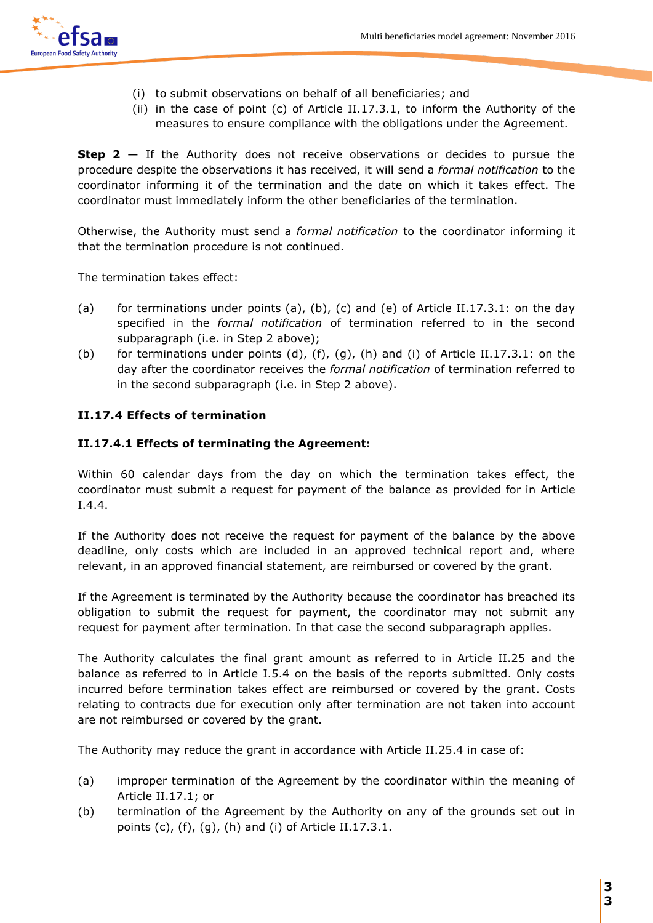

- (i) to submit observations on behalf of all beneficiaries; and
- (ii) in the case of point (c) of Article II.17.3.1, to inform the Authority of the measures to ensure compliance with the obligations under the Agreement.

**Step 2 –** If the Authority does not receive observations or decides to pursue the procedure despite the observations it has received, it will send a *formal notification* to the coordinator informing it of the termination and the date on which it takes effect. The coordinator must immediately inform the other beneficiaries of the termination.

Otherwise, the Authority must send a *formal notification* to the coordinator informing it that the termination procedure is not continued.

The termination takes effect:

- (a) for terminations under points (a), (b), (c) and (e) of Article II.17.3.1: on the day specified in the *formal notification* of termination referred to in the second subparagraph (i.e. in Step 2 above);
- (b) for terminations under points  $(d)$ ,  $(f)$ ,  $(g)$ ,  $(h)$  and  $(i)$  of Article II.17.3.1: on the day after the coordinator receives the *formal notification* of termination referred to in the second subparagraph (i.e. in Step 2 above).

# **II.17.4 Effects of termination**

### **II.17.4.1 Effects of terminating the Agreement:**

Within 60 calendar days from the day on which the termination takes effect, the coordinator must submit a request for payment of the balance as provided for in Article I.4.4.

If the Authority does not receive the request for payment of the balance by the above deadline, only costs which are included in an approved technical report and, where relevant, in an approved financial statement, are reimbursed or covered by the grant.

If the Agreement is terminated by the Authority because the coordinator has breached its obligation to submit the request for payment, the coordinator may not submit any request for payment after termination. In that case the second subparagraph applies.

The Authority calculates the final grant amount as referred to in Article II.25 and the balance as referred to in Article I.5.4 on the basis of the reports submitted. Only costs incurred before termination takes effect are reimbursed or covered by the grant. Costs relating to contracts due for execution only after termination are not taken into account are not reimbursed or covered by the grant.

The Authority may reduce the grant in accordance with Article II.25.4 in case of:

- (a) improper termination of the Agreement by the coordinator within the meaning of Article II.17.1; or
- (b) termination of the Agreement by the Authority on any of the grounds set out in points  $(c)$ ,  $(f)$ ,  $(g)$ ,  $(h)$  and  $(i)$  of Article II.17.3.1.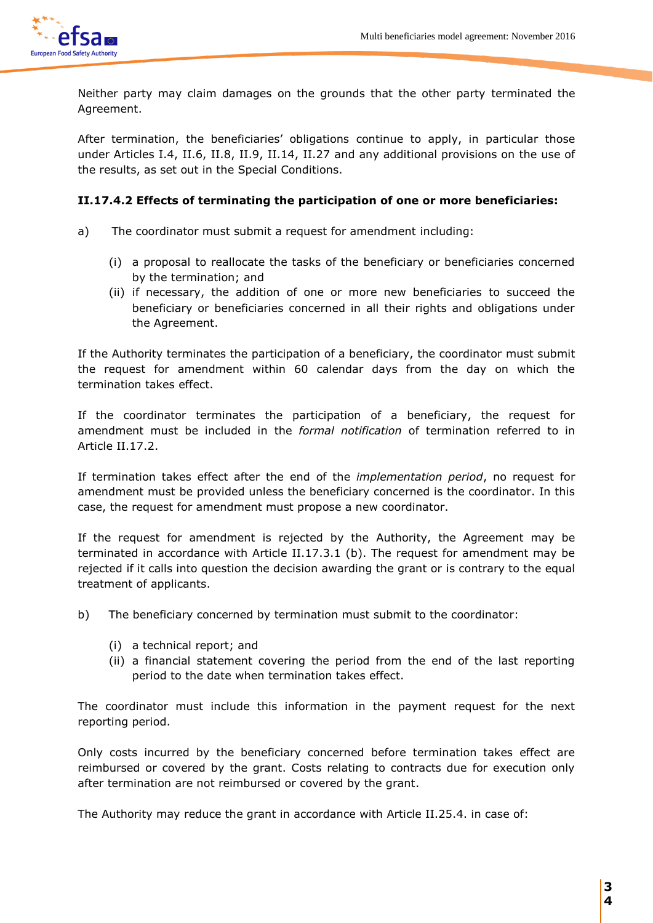

Neither party may claim damages on the grounds that the other party terminated the Agreement.

After termination, the beneficiaries' obligations continue to apply, in particular those under Articles I.4, II.6, II.8, II.9, II.14, II.27 and any additional provisions on the use of the results, as set out in the Special Conditions.

### **II.17.4.2 Effects of terminating the participation of one or more beneficiaries:**

- a)The coordinator must submit a request for amendment including:
	- (i) a proposal to reallocate the tasks of the beneficiary or beneficiaries concerned by the termination; and
	- (ii) if necessary, the addition of one or more new beneficiaries to succeed the beneficiary or beneficiaries concerned in all their rights and obligations under the Agreement.

If the Authority terminates the participation of a beneficiary, the coordinator must submit the request for amendment within 60 calendar days from the day on which the termination takes effect.

If the coordinator terminates the participation of a beneficiary, the request for amendment must be included in the *formal notification* of termination referred to in Article II.17.2.

If termination takes effect after the end of the *implementation period*, no request for amendment must be provided unless the beneficiary concerned is the coordinator. In this case, the request for amendment must propose a new coordinator.

If the request for amendment is rejected by the Authority, the Agreement may be terminated in accordance with Article II.17.3.1 (b). The request for amendment may be rejected if it calls into question the decision awarding the grant or is contrary to the equal treatment of applicants.

- b) The beneficiary concerned by termination must submit to the coordinator:
	- (i) a technical report; and
	- (ii) a financial statement covering the period from the end of the last reporting period to the date when termination takes effect.

The coordinator must include this information in the payment request for the next reporting period.

Only costs incurred by the beneficiary concerned before termination takes effect are reimbursed or covered by the grant. Costs relating to contracts due for execution only after termination are not reimbursed or covered by the grant.

The Authority may reduce the grant in accordance with Article II.25.4. in case of: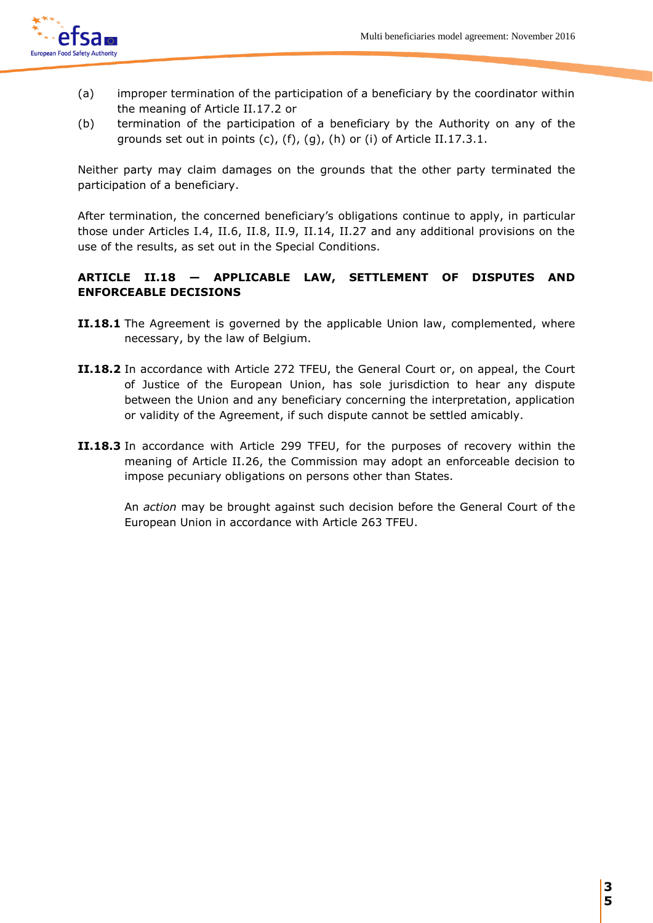

- (a) improper termination of the participation of a beneficiary by the coordinator within the meaning of Article II.17.2 or
- (b) termination of the participation of a beneficiary by the Authority on any of the grounds set out in points (c), (f), (g), (h) or (i) of Article II.17.3.1.

Neither party may claim damages on the grounds that the other party terminated the participation of a beneficiary.

After termination, the concerned beneficiary's obligations continue to apply, in particular those under Articles I.4, II.6, II.8, II.9, II.14, II.27 and any additional provisions on the use of the results, as set out in the Special Conditions.

# **ARTICLE II.18 — APPLICABLE LAW, SETTLEMENT OF DISPUTES AND ENFORCEABLE DECISIONS**

- **II.18.1** The Agreement is governed by the applicable Union law, complemented, where necessary, by the law of Belgium.
- **II.18.2** In accordance with Article 272 TFEU, the General Court or, on appeal, the Court of Justice of the European Union, has sole jurisdiction to hear any dispute between the Union and any beneficiary concerning the interpretation, application or validity of the Agreement, if such dispute cannot be settled amicably.
- **II.18.3** In accordance with Article 299 TFEU, for the purposes of recovery within the meaning of Article II.26, the Commission may adopt an enforceable decision to impose pecuniary obligations on persons other than States.

An *action* may be brought against such decision before the General Court of the European Union in accordance with Article 263 TFEU.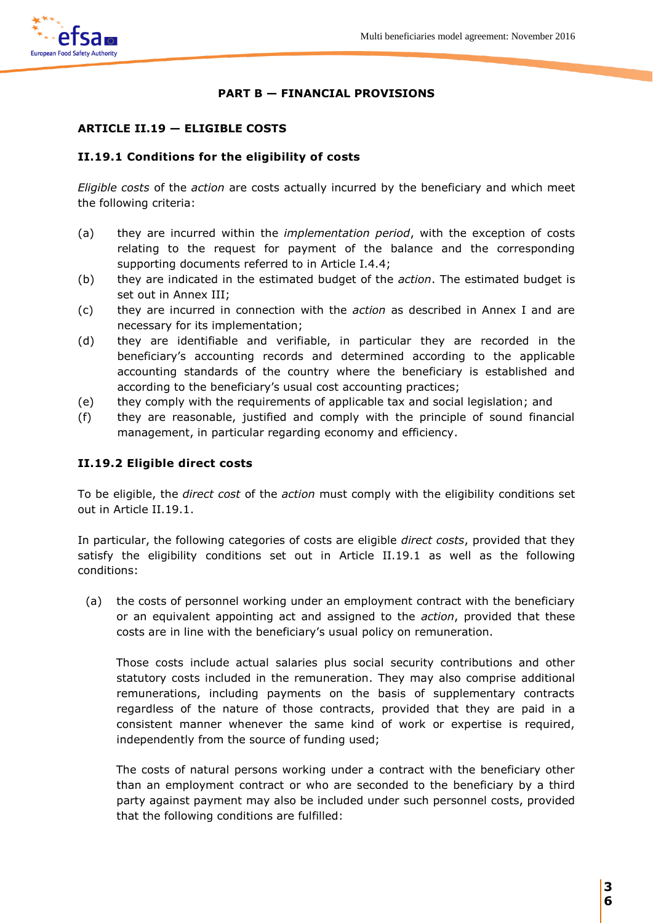

# **PART B — FINANCIAL PROVISIONS**

# **ARTICLE II.19 — ELIGIBLE COSTS**

# **II.19.1 Conditions for the eligibility of costs**

*Eligible costs* of the *action* are costs actually incurred by the beneficiary and which meet the following criteria:

- (a) they are incurred within the *implementation period*, with the exception of costs relating to the request for payment of the balance and the corresponding supporting documents referred to in Article I.4.4;
- (b) they are indicated in the estimated budget of the *action*. The estimated budget is set out in Annex III;
- (c) they are incurred in connection with the *action* as described in Annex I and are necessary for its implementation;
- (d) they are identifiable and verifiable, in particular they are recorded in the beneficiary's accounting records and determined according to the applicable accounting standards of the country where the beneficiary is established and according to the beneficiary's usual cost accounting practices;
- (e) they comply with the requirements of applicable tax and social legislation; and
- (f) they are reasonable, justified and comply with the principle of sound financial management, in particular regarding economy and efficiency.

# **II.19.2 Eligible direct costs**

To be eligible, the *direct cost* of the *action* must comply with the eligibility conditions set out in Article II.19.1.

In particular, the following categories of costs are eligible *direct costs*, provided that they satisfy the eligibility conditions set out in Article II.19.1 as well as the following conditions:

(a) the costs of personnel working under an employment contract with the beneficiary or an equivalent appointing act and assigned to the *action*, provided that these costs are in line with the beneficiary's usual policy on remuneration.

 Those costs include actual salaries plus social security contributions and other statutory costs included in the remuneration. They may also comprise additional remunerations, including payments on the basis of supplementary contracts regardless of the nature of those contracts, provided that they are paid in a consistent manner whenever the same kind of work or expertise is required, independently from the source of funding used;

 The costs of natural persons working under a contract with the beneficiary other than an employment contract or who are seconded to the beneficiary by a third party against payment may also be included under such personnel costs, provided that the following conditions are fulfilled: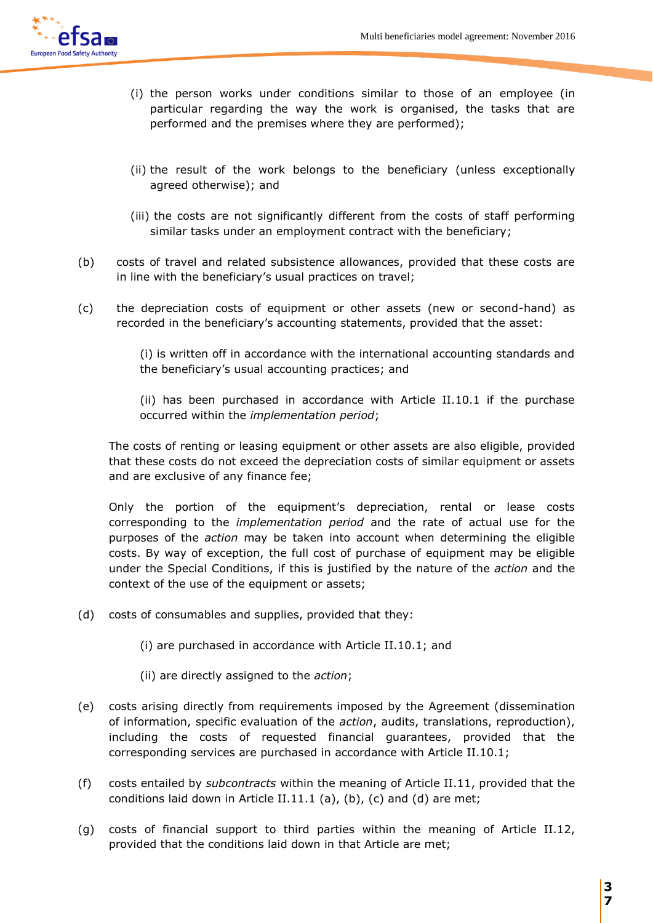

- (i) the person works under conditions similar to those of an employee (in particular regarding the way the work is organised, the tasks that are performed and the premises where they are performed);
- (ii) the result of the work belongs to the beneficiary (unless exceptionally agreed otherwise); and
- (iii) the costs are not significantly different from the costs of staff performing similar tasks under an employment contract with the beneficiary;
- (b) costs of travel and related subsistence allowances, provided that these costs are in line with the beneficiary's usual practices on travel;
- (c) the depreciation costs of equipment or other assets (new or second-hand) as recorded in the beneficiary's accounting statements, provided that the asset:

(i) is written off in accordance with the international accounting standards and the beneficiary's usual accounting practices; and

(ii) has been purchased in accordance with Article II.10.1 if the purchase occurred within the *implementation period*;

The costs of renting or leasing equipment or other assets are also eligible, provided that these costs do not exceed the depreciation costs of similar equipment or assets and are exclusive of any finance fee;

Only the portion of the equipment's depreciation, rental or lease costs corresponding to the *implementation period* and the rate of actual use for the purposes of the *action* may be taken into account when determining the eligible costs. By way of exception, the full cost of purchase of equipment may be eligible under the Special Conditions, if this is justified by the nature of the *action* and the context of the use of the equipment or assets;

- (d) costs of consumables and supplies, provided that they:
	- (i) are purchased in accordance with Article II.10.1; and
	- (ii) are directly assigned to the *action*;
- (e) costs arising directly from requirements imposed by the Agreement (dissemination of information, specific evaluation of the *action*, audits, translations, reproduction), including the costs of requested financial guarantees, provided that the corresponding services are purchased in accordance with Article II.10.1;
- (f) costs entailed by *subcontracts* within the meaning of Article II.11, provided that the conditions laid down in Article II.11.1 (a), (b), (c) and (d) are met;
- (g) costs of financial support to third parties within the meaning of Article II.12, provided that the conditions laid down in that Article are met;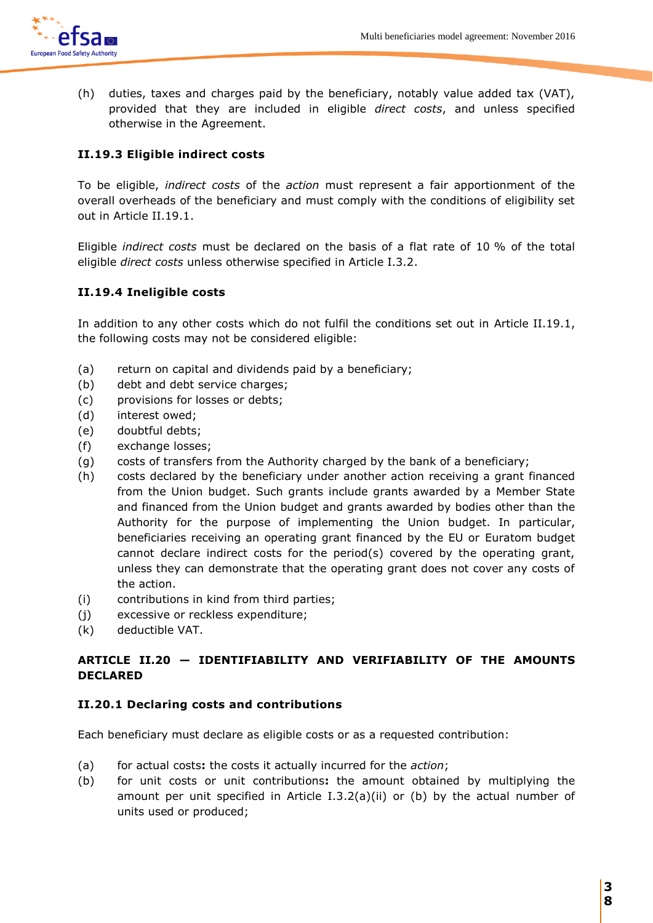

(h) duties, taxes and charges paid by the beneficiary, notably value added tax (VAT), provided that they are included in eligible *direct costs*, and unless specified otherwise in the Agreement.

# **II.19.3 Eligible indirect costs**

To be eligible, *indirect costs* of the *action* must represent a fair apportionment of the overall overheads of the beneficiary and must comply with the conditions of eligibility set out in Article II.19.1.

Eligible *indirect costs* must be declared on the basis of a flat rate of 10 % of the total eligible *direct costs* unless otherwise specified in Article I.3.2.

# **II.19.4 Ineligible costs**

In addition to any other costs which do not fulfil the conditions set out in Article II.19.1, the following costs may not be considered eligible:

- (a) return on capital and dividends paid by a beneficiary;
- (b) debt and debt service charges;
- (c) provisions for losses or debts;
- (d) interest owed;
- (e) doubtful debts;
- (f) exchange losses;
- (g) costs of transfers from the Authority charged by the bank of a beneficiary;
- (h) costs declared by the beneficiary under another action receiving a grant financed from the Union budget. Such grants include grants awarded by a Member State and financed from the Union budget and grants awarded by bodies other than the Authority for the purpose of implementing the Union budget. In particular, beneficiaries receiving an operating grant financed by the EU or Euratom budget cannot declare indirect costs for the period(s) covered by the operating grant, unless they can demonstrate that the operating grant does not cover any costs of the action.
- (i) contributions in kind from third parties;
- (j) excessive or reckless expenditure;
- (k) deductible VAT.

# **ARTICLE II.20 — IDENTIFIABILITY AND VERIFIABILITY OF THE AMOUNTS DECLARED**

# **II.20.1 Declaring costs and contributions**

Each beneficiary must declare as eligible costs or as a requested contribution:

- (a) for actual costs**:** the costs it actually incurred for the *action*;
- (b) for unit costs or unit contributions**:** the amount obtained by multiplying the amount per unit specified in Article I.3.2(a)(ii) or (b) by the actual number of units used or produced;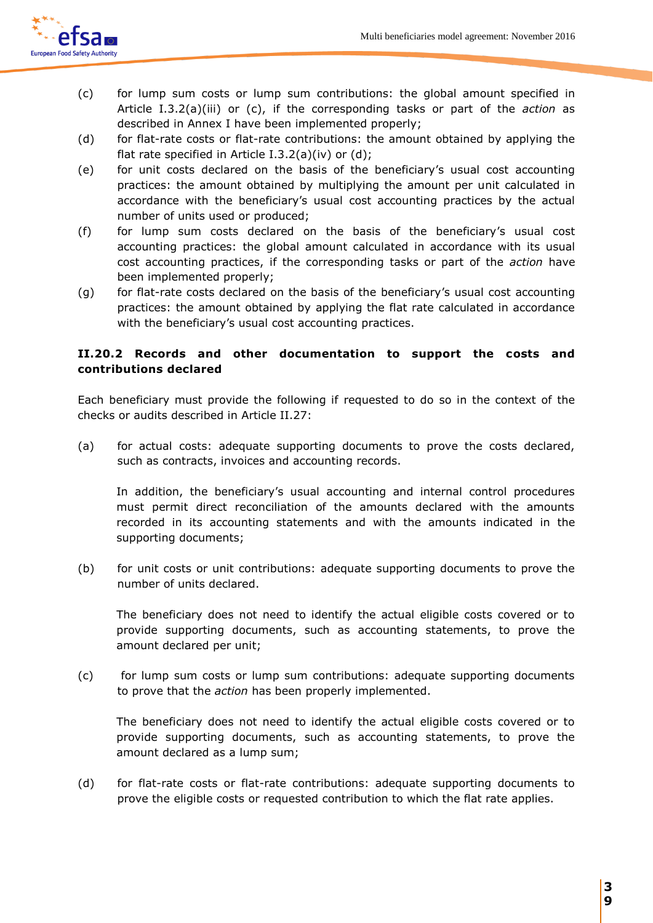

- (c) for lump sum costs or lump sum contributions: the global amount specified in Article I.3.2(a)(iii) or (c), if the corresponding tasks or part of the *action* as described in Annex I have been implemented properly;
- (d) for flat-rate costs or flat-rate contributions: the amount obtained by applying the flat rate specified in Article I.3.2(a)(iv) or (d);
- (e) for unit costs declared on the basis of the beneficiary's usual cost accounting practices: the amount obtained by multiplying the amount per unit calculated in accordance with the beneficiary's usual cost accounting practices by the actual number of units used or produced;
- (f) for lump sum costs declared on the basis of the beneficiary's usual cost accounting practices: the global amount calculated in accordance with its usual cost accounting practices, if the corresponding tasks or part of the *action* have been implemented properly;
- (g) for flat-rate costs declared on the basis of the beneficiary's usual cost accounting practices: the amount obtained by applying the flat rate calculated in accordance with the beneficiary's usual cost accounting practices.

# **II.20.2 Records and other documentation to support the costs and contributions declared**

Each beneficiary must provide the following if requested to do so in the context of the checks or audits described in Article II.27:

(a) for actual costs: adequate supporting documents to prove the costs declared, such as contracts, invoices and accounting records.

In addition, the beneficiary's usual accounting and internal control procedures must permit direct reconciliation of the amounts declared with the amounts recorded in its accounting statements and with the amounts indicated in the supporting documents;

(b) for unit costs or unit contributions: adequate supporting documents to prove the number of units declared.

The beneficiary does not need to identify the actual eligible costs covered or to provide supporting documents, such as accounting statements, to prove the amount declared per unit;

(c) for lump sum costs or lump sum contributions: adequate supporting documents to prove that the *action* has been properly implemented.

The beneficiary does not need to identify the actual eligible costs covered or to provide supporting documents, such as accounting statements, to prove the amount declared as a lump sum;

(d) for flat-rate costs or flat-rate contributions: adequate supporting documents to prove the eligible costs or requested contribution to which the flat rate applies.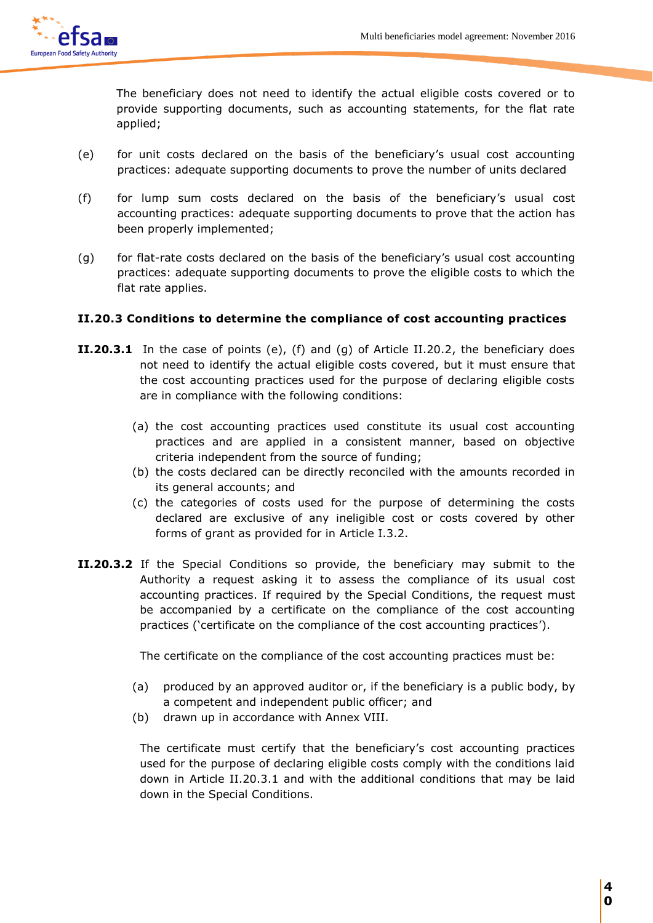

The beneficiary does not need to identify the actual eligible costs covered or to provide supporting documents, such as accounting statements, for the flat rate applied;

- (e) for unit costs declared on the basis of the beneficiary's usual cost accounting practices: adequate supporting documents to prove the number of units declared
- (f) for lump sum costs declared on the basis of the beneficiary's usual cost accounting practices: adequate supporting documents to prove that the action has been properly implemented;
- (g) for flat-rate costs declared on the basis of the beneficiary's usual cost accounting practices: adequate supporting documents to prove the eligible costs to which the flat rate applies.

# **II.20.3 Conditions to determine the compliance of cost accounting practices**

- **II.20.3.1** In the case of points (e), (f) and (g) of Article II.20.2, the beneficiary does not need to identify the actual eligible costs covered, but it must ensure that the cost accounting practices used for the purpose of declaring eligible costs are in compliance with the following conditions:
	- (a) the cost accounting practices used constitute its usual cost accounting practices and are applied in a consistent manner, based on objective criteria independent from the source of funding;
	- (b) the costs declared can be directly reconciled with the amounts recorded in its general accounts; and
	- (c) the categories of costs used for the purpose of determining the costs declared are exclusive of any ineligible cost or costs covered by other forms of grant as provided for in Article I.3.2.
- **II.20.3.2** If the Special Conditions so provide, the beneficiary may submit to the Authority a request asking it to assess the compliance of its usual cost accounting practices. If required by the Special Conditions, the request must be accompanied by a certificate on the compliance of the cost accounting practices ('certificate on the compliance of the cost accounting practices').

The certificate on the compliance of the cost accounting practices must be:

- (a) produced by an approved auditor or, if the beneficiary is a public body, by a competent and independent public officer; and
- (b) drawn up in accordance with Annex VIII.

The certificate must certify that the beneficiary's cost accounting practices used for the purpose of declaring eligible costs comply with the conditions laid down in Article II.20.3.1 and with the additional conditions that may be laid down in the Special Conditions.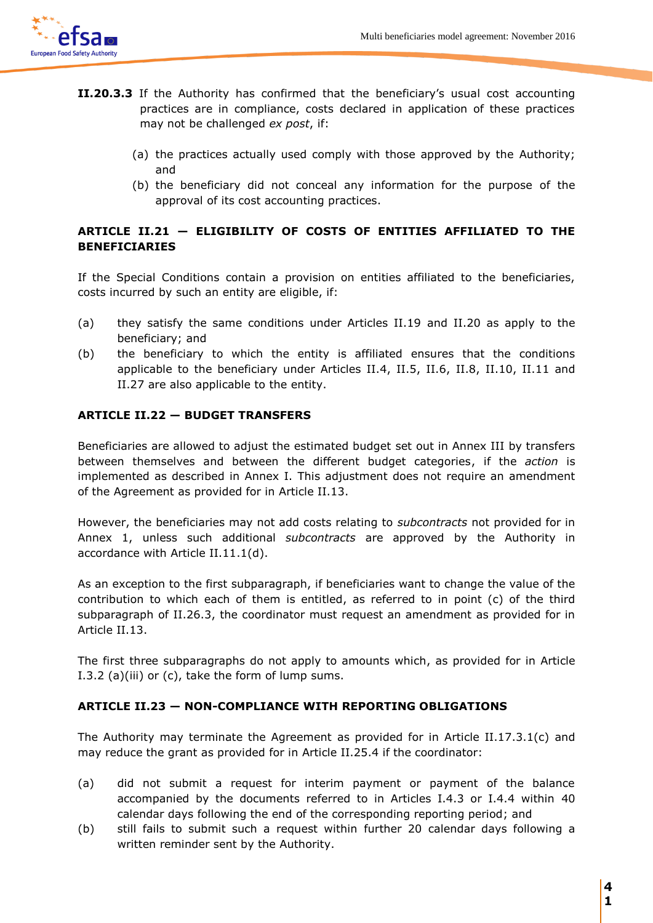

- **II.20.3.3** If the Authority has confirmed that the beneficiary's usual cost accounting practices are in compliance, costs declared in application of these practices may not be challenged *ex post*, if:
	- (a) the practices actually used comply with those approved by the Authority; and
	- (b) the beneficiary did not conceal any information for the purpose of the approval of its cost accounting practices.

# **ARTICLE II.21 — ELIGIBILITY OF COSTS OF ENTITIES AFFILIATED TO THE BENEFICIARIES**

If the Special Conditions contain a provision on entities affiliated to the beneficiaries, costs incurred by such an entity are eligible, if:

- (a) they satisfy the same conditions under Articles II.19 and II.20 as apply to the beneficiary; and
- (b) the beneficiary to which the entity is affiliated ensures that the conditions applicable to the beneficiary under Articles II.4, II.5, II.6, II.8, II.10, II.11 and II.27 are also applicable to the entity.

# **ARTICLE II.22 — BUDGET TRANSFERS**

Beneficiaries are allowed to adjust the estimated budget set out in Annex III by transfers between themselves and between the different budget categories, if the *action* is implemented as described in Annex I. This adjustment does not require an amendment of the Agreement as provided for in Article II.13.

However, the beneficiaries may not add costs relating to *subcontracts* not provided for in Annex 1, unless such additional *subcontracts* are approved by the Authority in accordance with Article II.11.1(d).

As an exception to the first subparagraph, if beneficiaries want to change the value of the contribution to which each of them is entitled, as referred to in point (c) of the third subparagraph of II.26.3, the coordinator must request an amendment as provided for in Article II.13.

The first three subparagraphs do not apply to amounts which, as provided for in Article I.3.2 (a)(iii) or (c), take the form of lump sums.

# **ARTICLE II.23 — NON-COMPLIANCE WITH REPORTING OBLIGATIONS**

The Authority may terminate the Agreement as provided for in Article II.17.3.1(c) and may reduce the grant as provided for in Article II.25.4 if the coordinator:

- (a) did not submit a request for interim payment or payment of the balance accompanied by the documents referred to in Articles I.4.3 or I.4.4 within 40 calendar days following the end of the corresponding reporting period; and
- (b) still fails to submit such a request within further 20 calendar days following a written reminder sent by the Authority.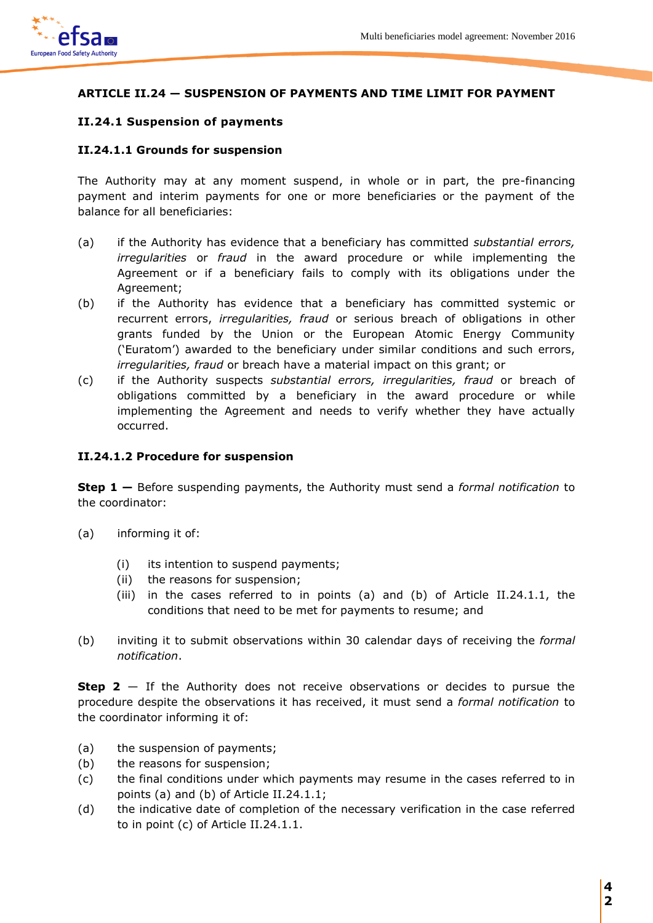

# **ARTICLE II.24 — SUSPENSION OF PAYMENTS AND TIME LIMIT FOR PAYMENT**

# **II.24.1 Suspension of payments**

# **II.24.1.1 Grounds for suspension**

The Authority may at any moment suspend, in whole or in part, the pre-financing payment and interim payments for one or more beneficiaries or the payment of the balance for all beneficiaries:

- (a) if the Authority has evidence that a beneficiary has committed *substantial errors, irregularities* or *fraud* in the award procedure or while implementing the Agreement or if a beneficiary fails to comply with its obligations under the Agreement;
- (b) if the Authority has evidence that a beneficiary has committed systemic or recurrent errors, *irregularities, fraud* or serious breach of obligations in other grants funded by the Union or the European Atomic Energy Community ('Euratom') awarded to the beneficiary under similar conditions and such errors, *irregularities, fraud* or breach have a material impact on this grant; or
- (c) if the Authority suspects *substantial errors, irregularities, fraud* or breach of obligations committed by a beneficiary in the award procedure or while implementing the Agreement and needs to verify whether they have actually occurred.

### **II.24.1.2 Procedure for suspension**

**Step 1 —** Before suspending payments, the Authority must send a *formal notification* to the coordinator:

- (a) informing it of:
	- (i) its intention to suspend payments;
	- (ii) the reasons for suspension;
	- (iii) in the cases referred to in points (a) and (b) of Article II.24.1.1, the conditions that need to be met for payments to resume; and
- (b) inviting it to submit observations within 30 calendar days of receiving the *formal notification*.

**Step 2** – If the Authority does not receive observations or decides to pursue the procedure despite the observations it has received, it must send a *formal notification* to the coordinator informing it of:

- (a) the suspension of payments;
- (b) the reasons for suspension;
- (c) the final conditions under which payments may resume in the cases referred to in points (a) and (b) of Article II.24.1.1;
- (d) the indicative date of completion of the necessary verification in the case referred to in point (c) of Article II.24.1.1.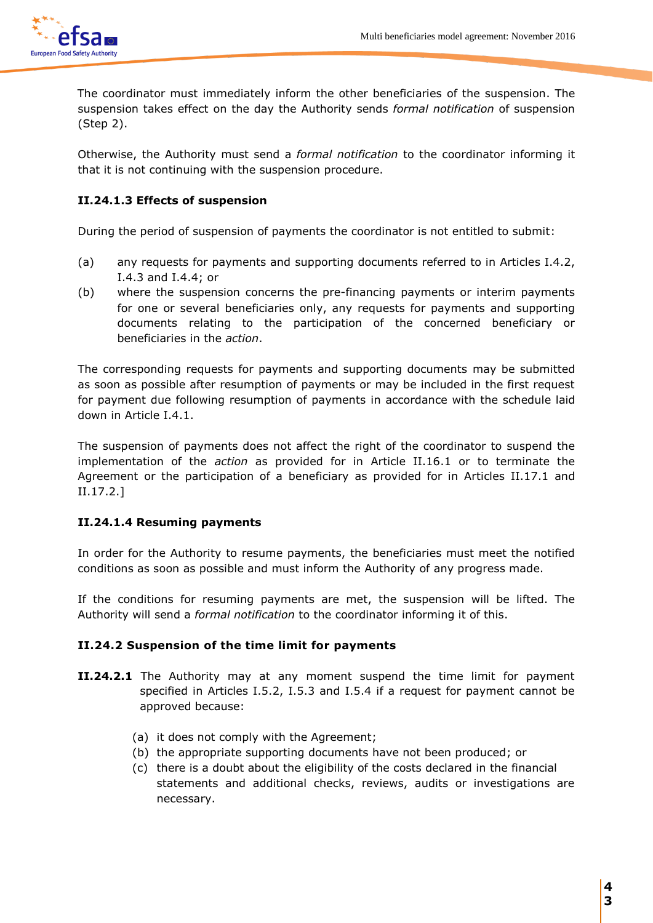

 The coordinator must immediately inform the other beneficiaries of the suspension. The suspension takes effect on the day the Authority sends *formal notification* of suspension (Step 2).

Otherwise, the Authority must send a *formal notification* to the coordinator informing it that it is not continuing with the suspension procedure.

# **II.24.1.3 Effects of suspension**

During the period of suspension of payments the coordinator is not entitled to submit:

- (a) any requests for payments and supporting documents referred to in Articles I.4.2, I.4.3 and I.4.4; or
- (b) where the suspension concerns the pre-financing payments or interim payments for one or several beneficiaries only, any requests for payments and supporting documents relating to the participation of the concerned beneficiary or beneficiaries in the *action*.

The corresponding requests for payments and supporting documents may be submitted as soon as possible after resumption of payments or may be included in the first request for payment due following resumption of payments in accordance with the schedule laid down in Article I.4.1.

The suspension of payments does not affect the right of the coordinator to suspend the implementation of the *action* as provided for in Article II.16.1 or to terminate the Agreement or the participation of a beneficiary as provided for in Articles II.17.1 and II.17.2.]

# **II.24.1.4 Resuming payments**

In order for the Authority to resume payments, the beneficiaries must meet the notified conditions as soon as possible and must inform the Authority of any progress made.

If the conditions for resuming payments are met, the suspension will be lifted. The Authority will send a *formal notification* to the coordinator informing it of this.

# **II.24.2 Suspension of the time limit for payments**

- **II.24.2.1** The Authority may at any moment suspend the time limit for payment specified in Articles I.5.2, I.5.3 and I.5.4 if a request for payment cannot be approved because:
	- (a) it does not comply with the Agreement;
	- (b) the appropriate supporting documents have not been produced; or
	- (c) there is a doubt about the eligibility of the costs declared in the financial statements and additional checks, reviews, audits or investigations are necessary.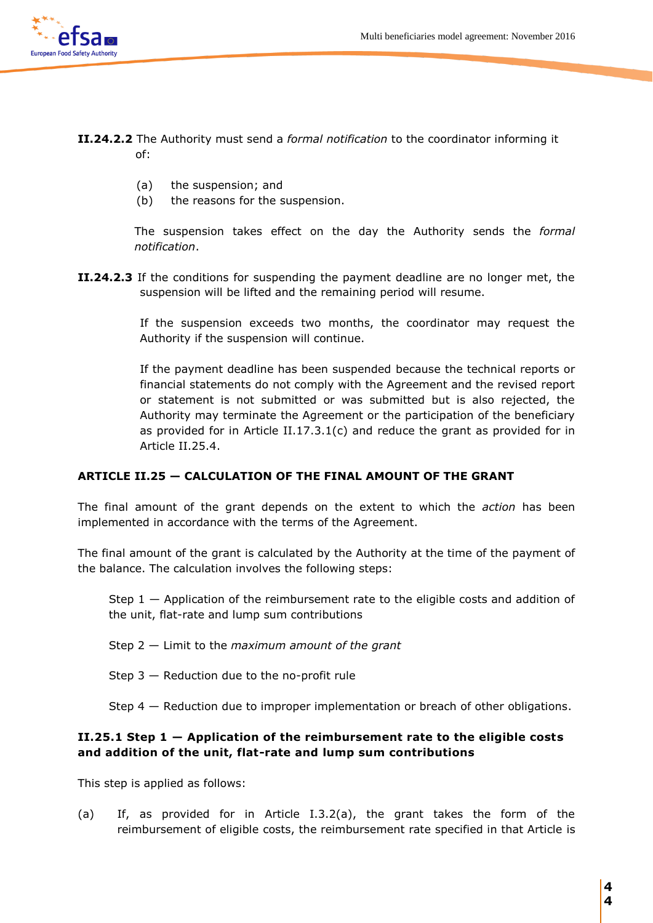- **II.24.2.2** The Authority must send a *formal notification* to the coordinator informing it of:
	- (a) the suspension; and
	- (b) the reasons for the suspension.

The suspension takes effect on the day the Authority sends the *formal notification*.

**II.24.2.3** If the conditions for suspending the payment deadline are no longer met, the suspension will be lifted and the remaining period will resume.

> If the suspension exceeds two months, the coordinator may request the Authority if the suspension will continue.

> If the payment deadline has been suspended because the technical reports or financial statements do not comply with the Agreement and the revised report or statement is not submitted or was submitted but is also rejected, the Authority may terminate the Agreement or the participation of the beneficiary as provided for in Article II.17.3.1(c) and reduce the grant as provided for in Article II.25.4.

#### **ARTICLE II.25 — CALCULATION OF THE FINAL AMOUNT OF THE GRANT**

The final amount of the grant depends on the extent to which the *action* has been implemented in accordance with the terms of the Agreement.

The final amount of the grant is calculated by the Authority at the time of the payment of the balance. The calculation involves the following steps:

- Step  $1 -$  Application of the reimbursement rate to the eligible costs and addition of the unit, flat-rate and lump sum contributions
- Step 2 Limit to the *maximum amount of the grant*
- Step 3 Reduction due to the no-profit rule

Step 4 — Reduction due to improper implementation or breach of other obligations.

### **II.25.1 Step 1 — Application of the reimbursement rate to the eligible costs and addition of the unit, flat-rate and lump sum contributions**

This step is applied as follows:

(a) If, as provided for in Article I.3.2(a), the grant takes the form of the reimbursement of eligible costs, the reimbursement rate specified in that Article is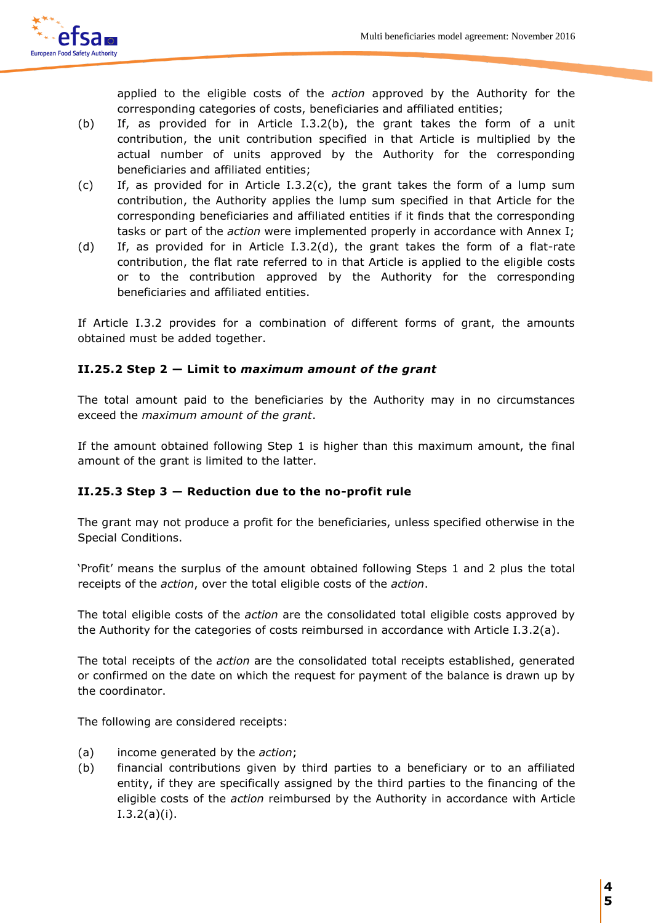

applied to the eligible costs of the *action* approved by the Authority for the corresponding categories of costs, beneficiaries and affiliated entities;

- (b) If, as provided for in Article I.3.2(b), the grant takes the form of a unit contribution, the unit contribution specified in that Article is multiplied by the actual number of units approved by the Authority for the corresponding beneficiaries and affiliated entities;
- (c) If, as provided for in Article I.3.2(c), the grant takes the form of a lump sum contribution, the Authority applies the lump sum specified in that Article for the corresponding beneficiaries and affiliated entities if it finds that the corresponding tasks or part of the *action* were implemented properly in accordance with Annex I;
- (d) If, as provided for in Article I.3.2(d), the grant takes the form of a flat-rate contribution, the flat rate referred to in that Article is applied to the eligible costs or to the contribution approved by the Authority for the corresponding beneficiaries and affiliated entities.

If Article I.3.2 provides for a combination of different forms of grant, the amounts obtained must be added together.

# **II.25.2 Step 2 — Limit to** *maximum amount of the grant*

The total amount paid to the beneficiaries by the Authority may in no circumstances exceed the *maximum amount of the grant*.

If the amount obtained following Step 1 is higher than this maximum amount, the final amount of the grant is limited to the latter.

# **II.25.3 Step 3 — Reduction due to the no-profit rule**

The grant may not produce a profit for the beneficiaries, unless specified otherwise in the Special Conditions.

'Profit' means the surplus of the amount obtained following Steps 1 and 2 plus the total receipts of the *action*, over the total eligible costs of the *action*.

The total eligible costs of the *action* are the consolidated total eligible costs approved by the Authority for the categories of costs reimbursed in accordance with Article I.3.2(a).

The total receipts of the *action* are the consolidated total receipts established, generated or confirmed on the date on which the request for payment of the balance is drawn up by the coordinator.

The following are considered receipts:

- (a) income generated by the *action*;
- (b) financial contributions given by third parties to a beneficiary or to an affiliated entity, if they are specifically assigned by the third parties to the financing of the eligible costs of the *action* reimbursed by the Authority in accordance with Article I.3.2(a)(i).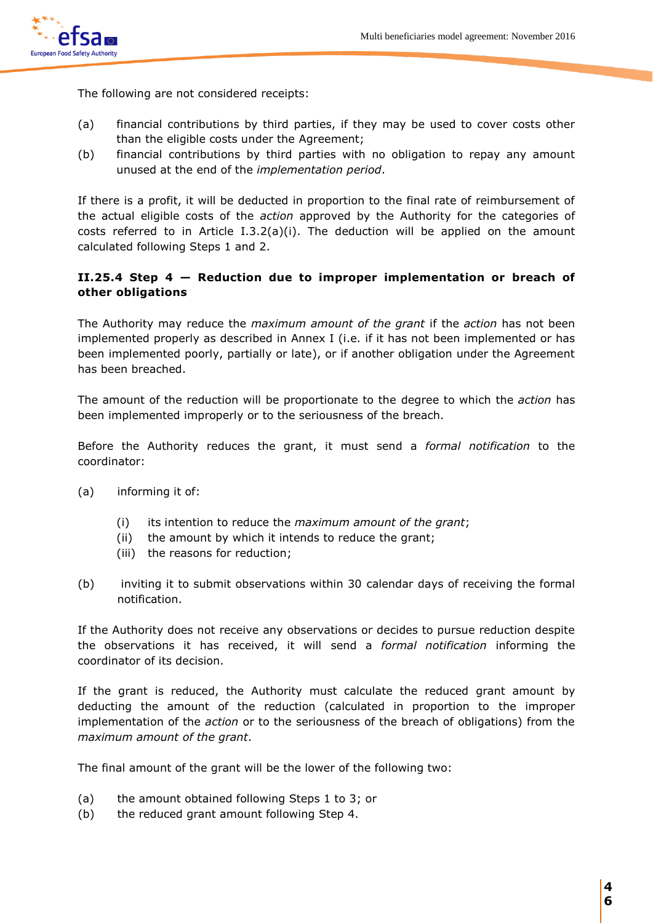

The following are not considered receipts:

- (a) financial contributions by third parties, if they may be used to cover costs other than the eligible costs under the Agreement;
- (b) financial contributions by third parties with no obligation to repay any amount unused at the end of the *implementation period*.

If there is a profit, it will be deducted in proportion to the final rate of reimbursement of the actual eligible costs of the *action* approved by the Authority for the categories of costs referred to in Article I.3.2(a)(i). The deduction will be applied on the amount calculated following Steps 1 and 2.

# **II.25.4 Step 4 — Reduction due to improper implementation or breach of other obligations**

The Authority may reduce the *maximum amount of the grant* if the *action* has not been implemented properly as described in Annex I (i.e. if it has not been implemented or has been implemented poorly, partially or late), or if another obligation under the Agreement has been breached.

The amount of the reduction will be proportionate to the degree to which the *action* has been implemented improperly or to the seriousness of the breach.

Before the Authority reduces the grant, it must send a *formal notification* to the coordinator:

- (a) informing it of:
	- (i) its intention to reduce the *maximum amount of the grant*;
	- (ii) the amount by which it intends to reduce the grant;
	- (iii) the reasons for reduction;
- (b) inviting it to submit observations within 30 calendar days of receiving the formal notification.

If the Authority does not receive any observations or decides to pursue reduction despite the observations it has received, it will send a *formal notification* informing the coordinator of its decision.

If the grant is reduced, the Authority must calculate the reduced grant amount by deducting the amount of the reduction (calculated in proportion to the improper implementation of the *action* or to the seriousness of the breach of obligations) from the *maximum amount of the grant*.

The final amount of the grant will be the lower of the following two:

- (a) the amount obtained following Steps 1 to 3; or
- (b) the reduced grant amount following Step 4.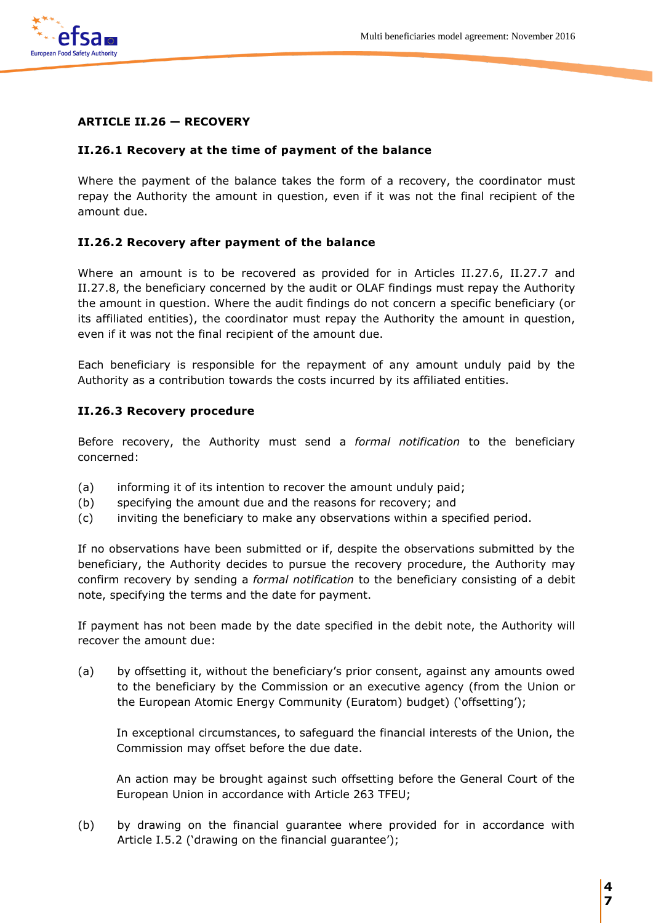

# **ARTICLE II.26 — RECOVERY**

### **II.26.1 Recovery at the time of payment of the balance**

Where the payment of the balance takes the form of a recovery, the coordinator must repay the Authority the amount in question, even if it was not the final recipient of the amount due.

### **II.26.2 Recovery after payment of the balance**

Where an amount is to be recovered as provided for in Articles II.27.6, II.27.7 and II.27.8, the beneficiary concerned by the audit or OLAF findings must repay the Authority the amount in question. Where the audit findings do not concern a specific beneficiary (or its affiliated entities), the coordinator must repay the Authority the amount in question, even if it was not the final recipient of the amount due.

Each beneficiary is responsible for the repayment of any amount unduly paid by the Authority as a contribution towards the costs incurred by its affiliated entities.

### **II.26.3 Recovery procedure**

Before recovery, the Authority must send a *formal notification* to the beneficiary concerned:

- (a) informing it of its intention to recover the amount unduly paid;
- (b) specifying the amount due and the reasons for recovery; and
- (c) inviting the beneficiary to make any observations within a specified period.

If no observations have been submitted or if, despite the observations submitted by the beneficiary, the Authority decides to pursue the recovery procedure, the Authority may confirm recovery by sending a *formal notification* to the beneficiary consisting of a debit note, specifying the terms and the date for payment.

If payment has not been made by the date specified in the debit note, the Authority will recover the amount due:

(a) by offsetting it, without the beneficiary's prior consent, against any amounts owed to the beneficiary by the Commission or an executive agency (from the Union or the European Atomic Energy Community (Euratom) budget) ('offsetting');

In exceptional circumstances, to safeguard the financial interests of the Union, the Commission may offset before the due date.

An action may be brought against such offsetting before the General Court of the European Union in accordance with Article 263 TFEU;

(b) by drawing on the financial guarantee where provided for in accordance with Article I.5.2 ('drawing on the financial guarantee');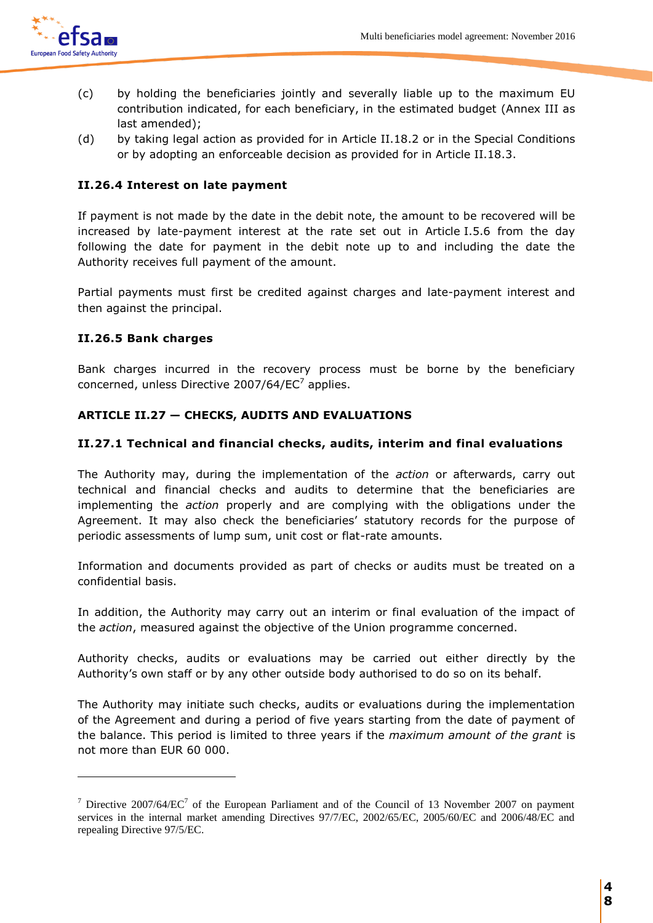

 $\overline{a}$ 

- (c) by holding the beneficiaries jointly and severally liable up to the maximum EU contribution indicated, for each beneficiary, in the estimated budget (Annex III as last amended);
- (d) by taking legal action as provided for in Article II.18.2 or in the Special Conditions or by adopting an enforceable decision as provided for in Article II.18.3.

# **II.26.4 Interest on late payment**

If payment is not made by the date in the debit note, the amount to be recovered will be increased by late-payment interest at the rate set out in Article I.5.6 from the day following the date for payment in the debit note up to and including the date the Authority receives full payment of the amount.

Partial payments must first be credited against charges and late-payment interest and then against the principal.

# **II.26.5 Bank charges**

Bank charges incurred in the recovery process must be borne by the beneficiary concerned, unless Directive 2007/64/EC<sup>7</sup> applies.

# **ARTICLE II.27 — CHECKS, AUDITS AND EVALUATIONS**

### **II.27.1 Technical and financial checks, audits, interim and final evaluations**

The Authority may, during the implementation of the *action* or afterwards, carry out technical and financial checks and audits to determine that the beneficiaries are implementing the *action* properly and are complying with the obligations under the Agreement. It may also check the beneficiaries' statutory records for the purpose of periodic assessments of lump sum, unit cost or flat-rate amounts.

Information and documents provided as part of checks or audits must be treated on a confidential basis.

In addition, the Authority may carry out an interim or final evaluation of the impact of the *action*, measured against the objective of the Union programme concerned.

Authority checks, audits or evaluations may be carried out either directly by the Authority's own staff or by any other outside body authorised to do so on its behalf.

The Authority may initiate such checks, audits or evaluations during the implementation of the Agreement and during a period of five years starting from the date of payment of the balance. This period is limited to three years if the *maximum amount of the grant* is not more than EUR 60 000.

<sup>&</sup>lt;sup>7</sup> Directive 2007/64/EC<sup>7</sup> of the European Parliament and of the Council of 13 November 2007 on payment services in the internal market amending Directives 97/7/EC, 2002/65/EC, 2005/60/EC and 2006/48/EC and repealing Directive 97/5/EC.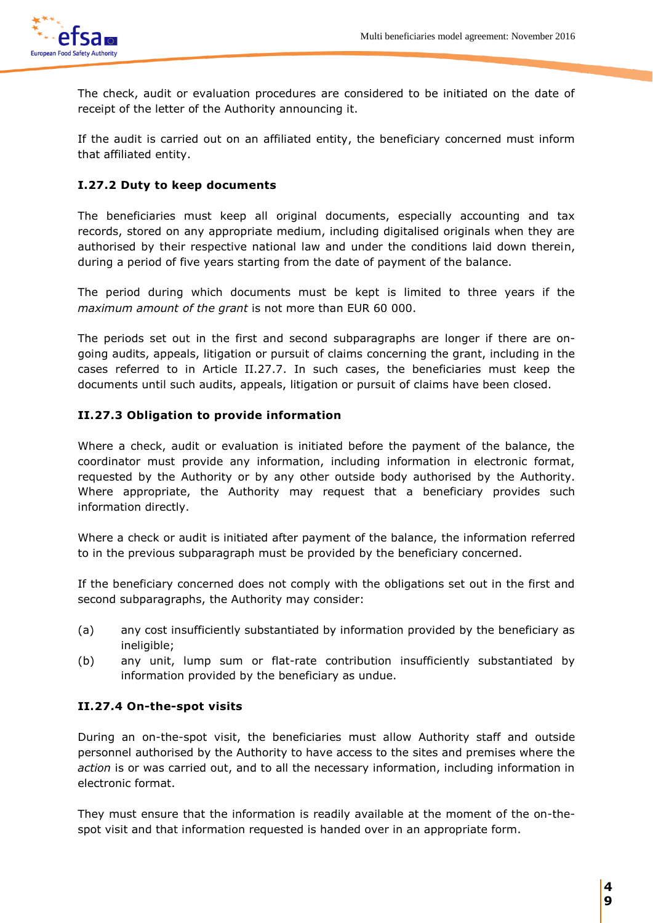

The check, audit or evaluation procedures are considered to be initiated on the date of receipt of the letter of the Authority announcing it.

If the audit is carried out on an affiliated entity, the beneficiary concerned must inform that affiliated entity.

# **I.27.2 Duty to keep documents**

The beneficiaries must keep all original documents, especially accounting and tax records, stored on any appropriate medium, including digitalised originals when they are authorised by their respective national law and under the conditions laid down therein, during a period of five years starting from the date of payment of the balance.

The period during which documents must be kept is limited to three years if the *maximum amount of the grant* is not more than EUR 60 000.

The periods set out in the first and second subparagraphs are longer if there are ongoing audits, appeals, litigation or pursuit of claims concerning the grant, including in the cases referred to in Article II.27.7. In such cases, the beneficiaries must keep the documents until such audits, appeals, litigation or pursuit of claims have been closed.

# **II.27.3 Obligation to provide information**

Where a check, audit or evaluation is initiated before the payment of the balance, the coordinator must provide any information, including information in electronic format, requested by the Authority or by any other outside body authorised by the Authority. Where appropriate, the Authority may request that a beneficiary provides such information directly.

Where a check or audit is initiated after payment of the balance, the information referred to in the previous subparagraph must be provided by the beneficiary concerned.

If the beneficiary concerned does not comply with the obligations set out in the first and second subparagraphs, the Authority may consider:

- (a) any cost insufficiently substantiated by information provided by the beneficiary as ineligible;
- (b) any unit, lump sum or flat-rate contribution insufficiently substantiated by information provided by the beneficiary as undue.

# **II.27.4 On-the-spot visits**

During an on-the-spot visit, the beneficiaries must allow Authority staff and outside personnel authorised by the Authority to have access to the sites and premises where the *action* is or was carried out, and to all the necessary information, including information in electronic format.

They must ensure that the information is readily available at the moment of the on-thespot visit and that information requested is handed over in an appropriate form.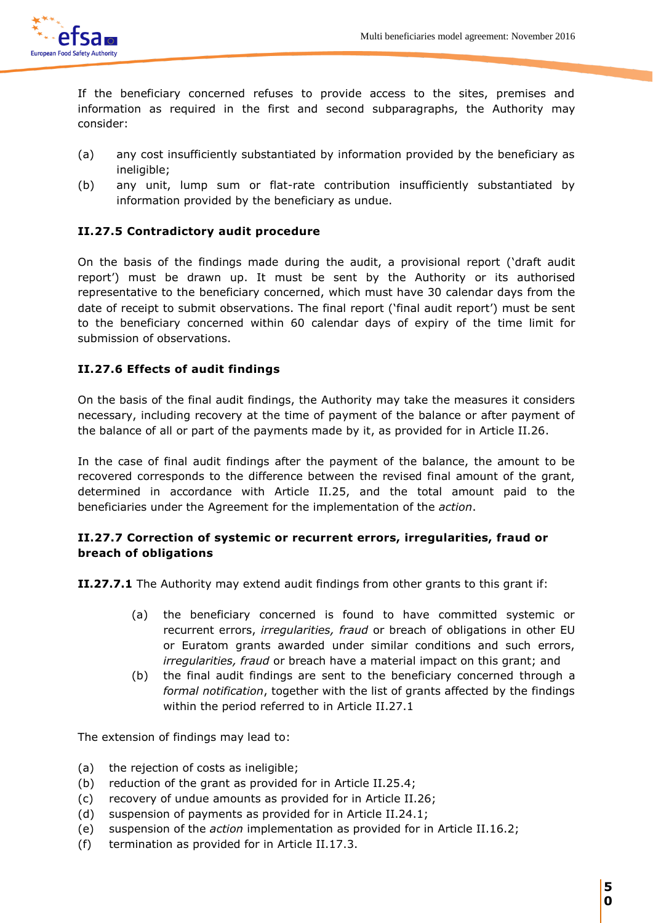

If the beneficiary concerned refuses to provide access to the sites, premises and information as required in the first and second subparagraphs, the Authority may consider:

- (a) any cost insufficiently substantiated by information provided by the beneficiary as ineligible;
- (b) any unit, lump sum or flat-rate contribution insufficiently substantiated by information provided by the beneficiary as undue.

# **II.27.5 Contradictory audit procedure**

On the basis of the findings made during the audit, a provisional report ('draft audit report') must be drawn up. It must be sent by the Authority or its authorised representative to the beneficiary concerned, which must have 30 calendar days from the date of receipt to submit observations. The final report ('final audit report') must be sent to the beneficiary concerned within 60 calendar days of expiry of the time limit for submission of observations.

# **II.27.6 Effects of audit findings**

On the basis of the final audit findings, the Authority may take the measures it considers necessary, including recovery at the time of payment of the balance or after payment of the balance of all or part of the payments made by it, as provided for in Article II.26.

In the case of final audit findings after the payment of the balance, the amount to be recovered corresponds to the difference between the revised final amount of the grant, determined in accordance with Article II.25, and the total amount paid to the beneficiaries under the Agreement for the implementation of the *action*.

# **II.27.7 Correction of systemic or recurrent errors, irregularities, fraud or breach of obligations**

**II.27.7.1** The Authority may extend audit findings from other grants to this grant if:

- (a) the beneficiary concerned is found to have committed systemic or recurrent errors, *irregularities, fraud* or breach of obligations in other EU or Euratom grants awarded under similar conditions and such errors, *irregularities, fraud* or breach have a material impact on this grant; and
- (b) the final audit findings are sent to the beneficiary concerned through a *formal notification*, together with the list of grants affected by the findings within the period referred to in Article II.27.1

The extension of findings may lead to:

- (a) the rejection of costs as ineligible;
- (b) reduction of the grant as provided for in Article II.25.4;
- (c) recovery of undue amounts as provided for in Article II.26;
- (d) suspension of payments as provided for in Article II.24.1;
- (e) suspension of the *action* implementation as provided for in Article II.16.2;
- (f) termination as provided for in Article II.17.3.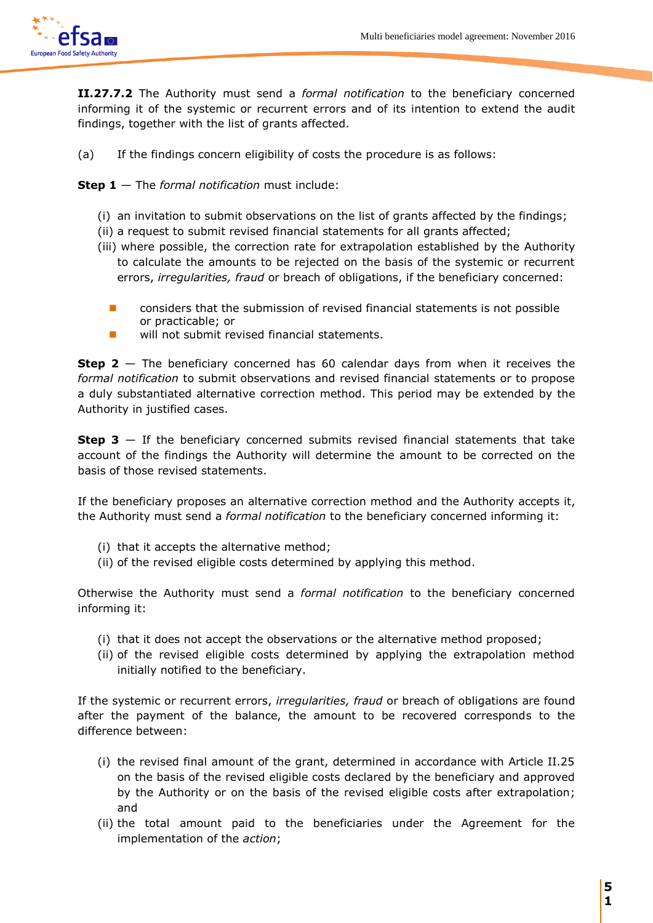

**II.27.7.2** The Authority must send a *formal notification* to the beneficiary concerned informing it of the systemic or recurrent errors and of its intention to extend the audit findings, together with the list of grants affected.

(a) If the findings concern eligibility of costs the procedure is as follows:

**Step 1** — The *formal notification* must include:

- (i) an invitation to submit observations on the list of grants affected by the findings;
- (ii) a request to submit revised financial statements for all grants affected;
- (iii) where possible, the correction rate for extrapolation established by the Authority to calculate the amounts to be rejected on the basis of the systemic or recurrent errors, *irregularities, fraud* or breach of obligations, if the beneficiary concerned:
	- considers that the submission of revised financial statements is not possible or practicable; or
	- will not submit revised financial statements.

**Step 2** — The beneficiary concerned has 60 calendar days from when it receives the *formal notification* to submit observations and revised financial statements or to propose a duly substantiated alternative correction method. This period may be extended by the Authority in justified cases.

**Step 3** — If the beneficiary concerned submits revised financial statements that take account of the findings the Authority will determine the amount to be corrected on the basis of those revised statements.

If the beneficiary proposes an alternative correction method and the Authority accepts it, the Authority must send a *formal notification* to the beneficiary concerned informing it:

- (i) that it accepts the alternative method;
- (ii) of the revised eligible costs determined by applying this method.

Otherwise the Authority must send a *formal notification* to the beneficiary concerned informing it:

- (i) that it does not accept the observations or the alternative method proposed;
- (ii) of the revised eligible costs determined by applying the extrapolation method initially notified to the beneficiary.

If the systemic or recurrent errors, *irregularities, fraud* or breach of obligations are found after the payment of the balance, the amount to be recovered corresponds to the difference between:

- (i) the revised final amount of the grant, determined in accordance with Article II.25 on the basis of the revised eligible costs declared by the beneficiary and approved by the Authority or on the basis of the revised eligible costs after extrapolation; and
- (ii) the total amount paid to the beneficiaries under the Agreement for the implementation of the *action*;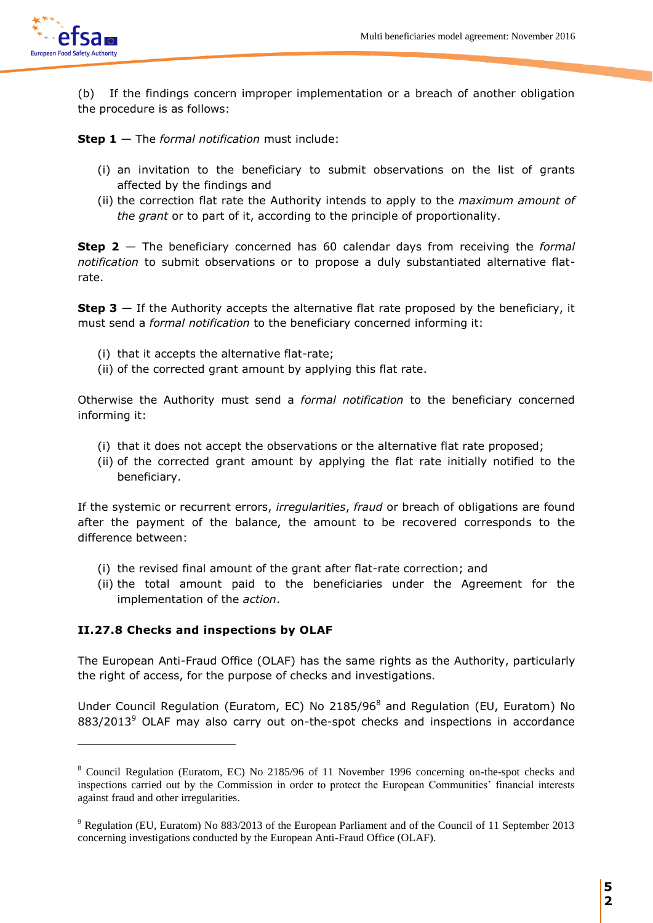

 $\overline{a}$ 

(b) If the findings concern improper implementation or a breach of another obligation the procedure is as follows:

**Step 1** — The *formal notification* must include:

- (i) an invitation to the beneficiary to submit observations on the list of grants affected by the findings and
- (ii) the correction flat rate the Authority intends to apply to the *maximum amount of the grant* or to part of it, according to the principle of proportionality.

**Step 2** — The beneficiary concerned has 60 calendar days from receiving the *formal notification* to submit observations or to propose a duly substantiated alternative flatrate.

**Step 3** – If the Authority accepts the alternative flat rate proposed by the beneficiary, it must send a *formal notification* to the beneficiary concerned informing it:

- (i) that it accepts the alternative flat-rate;
- (ii) of the corrected grant amount by applying this flat rate.

Otherwise the Authority must send a *formal notification* to the beneficiary concerned informing it:

- (i) that it does not accept the observations or the alternative flat rate proposed;
- (ii) of the corrected grant amount by applying the flat rate initially notified to the beneficiary.

If the systemic or recurrent errors, *irregularities*, *fraud* or breach of obligations are found after the payment of the balance, the amount to be recovered corresponds to the difference between:

- (i) the revised final amount of the grant after flat-rate correction; and
- (ii) the total amount paid to the beneficiaries under the Agreement for the implementation of the *action*.

# **II.27.8 Checks and inspections by OLAF**

The European Anti-Fraud Office (OLAF) has the same rights as the Authority, particularly the right of access, for the purpose of checks and investigations.

Under Council Regulation (Euratom, EC) No 2185/96<sup>8</sup> and Regulation (EU, Euratom) No 883/2013<sup>9</sup> OLAF may also carry out on-the-spot checks and inspections in accordance

<sup>8</sup> Council Regulation (Euratom, EC) No 2185/96 of 11 November 1996 concerning on-the-spot checks and inspections carried out by the Commission in order to protect the European Communities' financial interests against fraud and other irregularities.

<sup>9</sup> Regulation (EU, Euratom) No 883/2013 of the European Parliament and of the Council of 11 September 2013 concerning investigations conducted by the European Anti-Fraud Office (OLAF).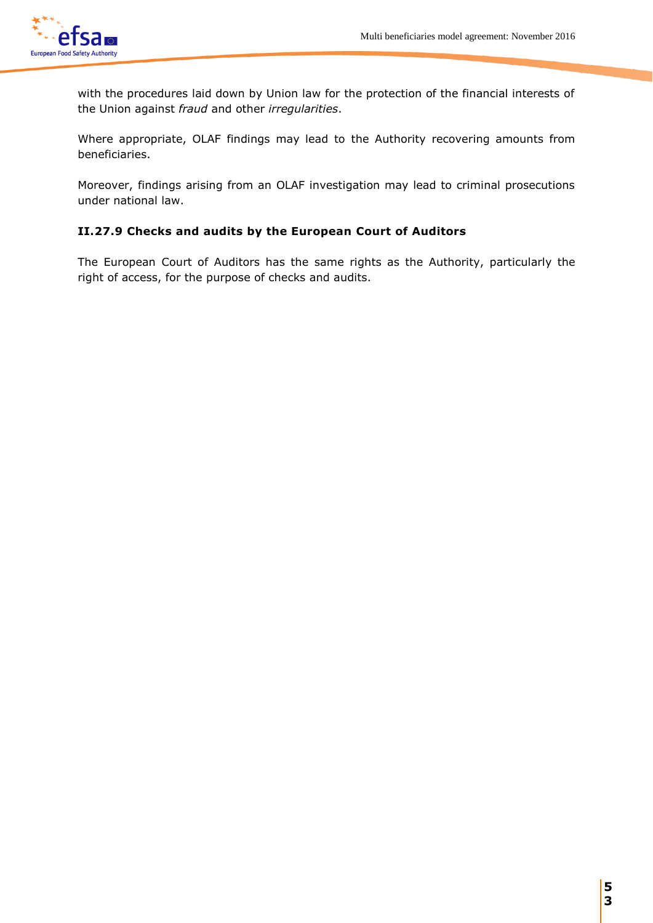

with the procedures laid down by Union law for the protection of the financial interests of the Union against *fraud* and other *irregularities*.

Where appropriate, OLAF findings may lead to the Authority recovering amounts from beneficiaries.

Moreover, findings arising from an OLAF investigation may lead to criminal prosecutions under national law.

# **II.27.9 Checks and audits by the European Court of Auditors**

The European Court of Auditors has the same rights as the Authority, particularly the right of access, for the purpose of checks and audits.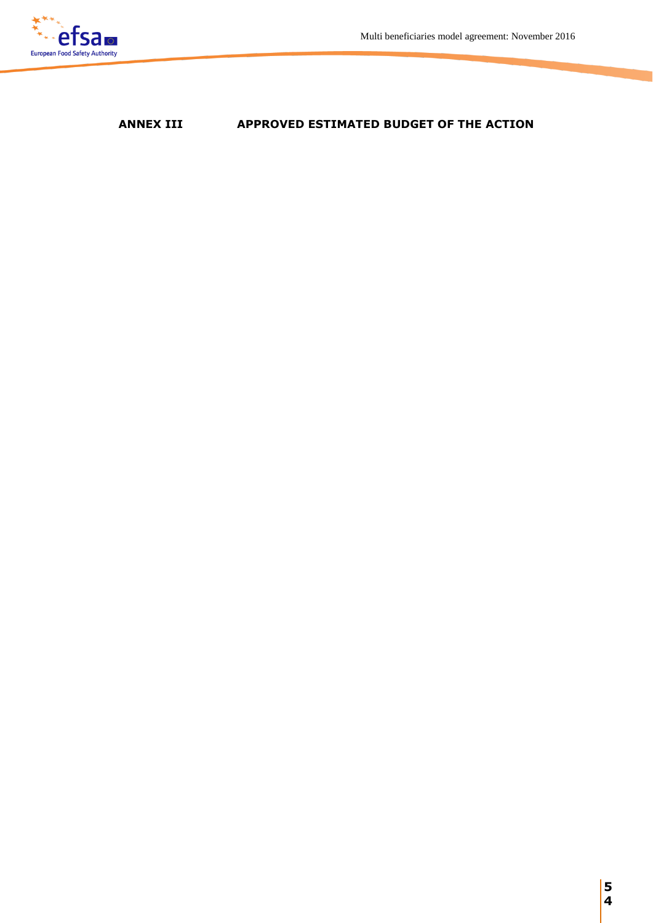

# **ANNEX III APPROVED ESTIMATED BUDGET OF THE ACTION**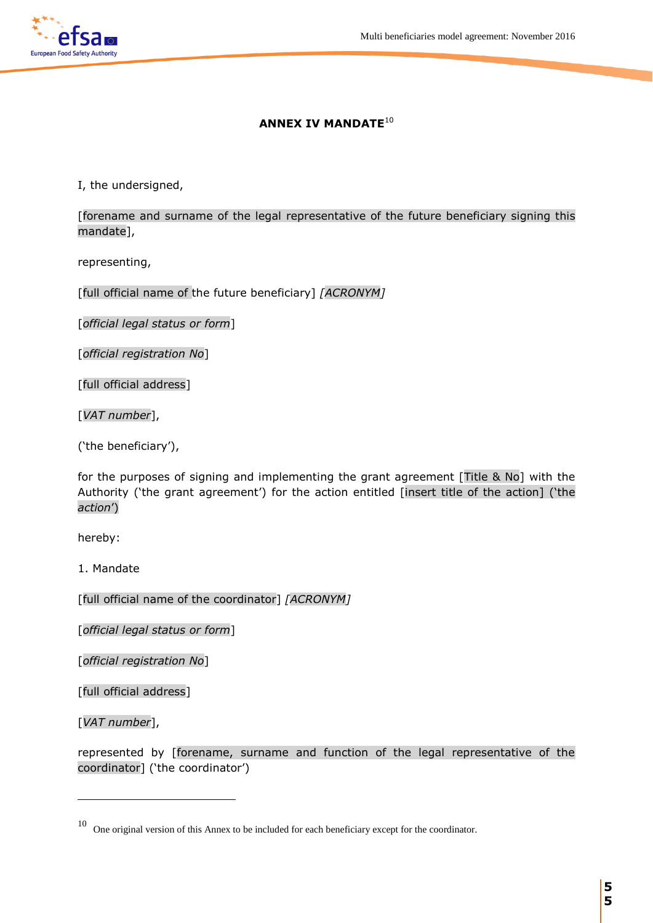### **ANNEX IV MANDATE**<sup>10</sup>

I, the undersigned,

[forename and surname of the legal representative of the future beneficiary signing this mandate],

representing,

[full official name of the future beneficiary] *[ACRONYM]*

[*official legal status or form*]

[*official registration No*]

[full official address]

[*VAT number*],

('the beneficiary'),

for the purposes of signing and implementing the grant agreement [Title & No] with the Authority ('the grant agreement') for the action entitled [insert title of the action] ('the *action*')

hereby:

1. Mandate

[full official name of the coordinator] *[ACRONYM]*

[*official legal status or form*]

[*official registration No*]

[full official address]

[*VAT number*],

 $\overline{a}$ 

represented by [forename, surname and function of the legal representative of the coordinator] ('the coordinator')

<sup>10</sup> One original version of this Annex to be included for each beneficiary except for the coordinator.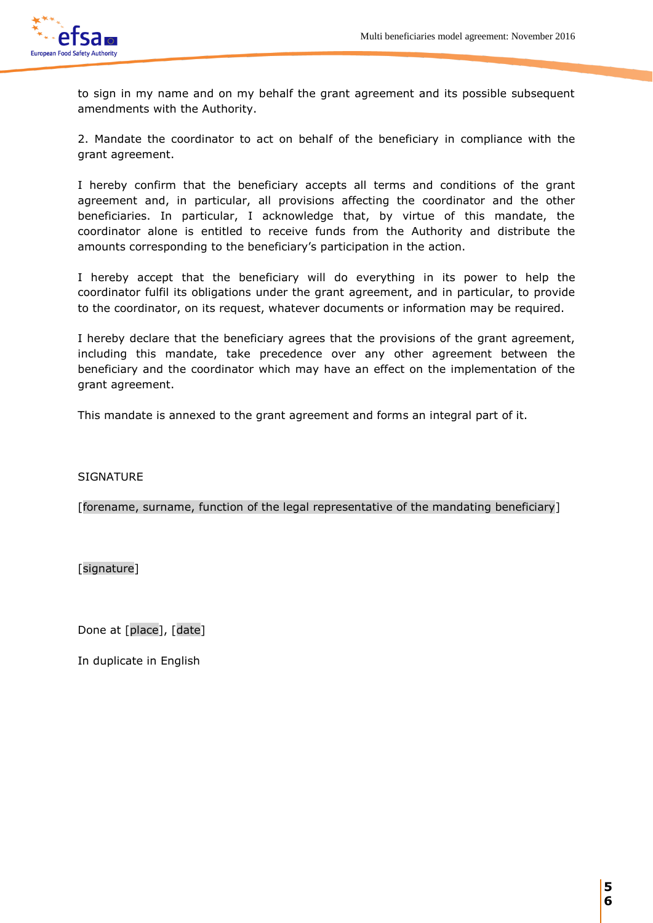

to sign in my name and on my behalf the grant agreement and its possible subsequent amendments with the Authority.

2. Mandate the coordinator to act on behalf of the beneficiary in compliance with the grant agreement.

I hereby confirm that the beneficiary accepts all terms and conditions of the grant agreement and, in particular, all provisions affecting the coordinator and the other beneficiaries. In particular, I acknowledge that, by virtue of this mandate, the coordinator alone is entitled to receive funds from the Authority and distribute the amounts corresponding to the beneficiary's participation in the action.

I hereby accept that the beneficiary will do everything in its power to help the coordinator fulfil its obligations under the grant agreement, and in particular, to provide to the coordinator, on its request, whatever documents or information may be required.

I hereby declare that the beneficiary agrees that the provisions of the grant agreement, including this mandate, take precedence over any other agreement between the beneficiary and the coordinator which may have an effect on the implementation of the grant agreement.

This mandate is annexed to the grant agreement and forms an integral part of it.

**SIGNATURE** 

[forename, surname, function of the legal representative of the mandating beneficiary]

[signature]

Done at [place], [date]

In duplicate in English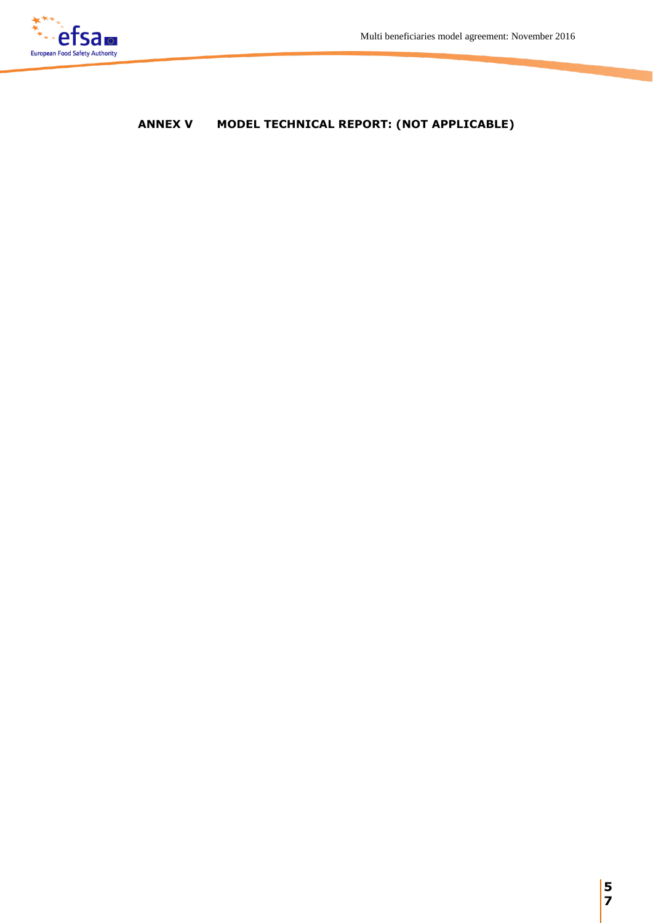

# **ANNEX V MODEL TECHNICAL REPORT: (NOT APPLICABLE)**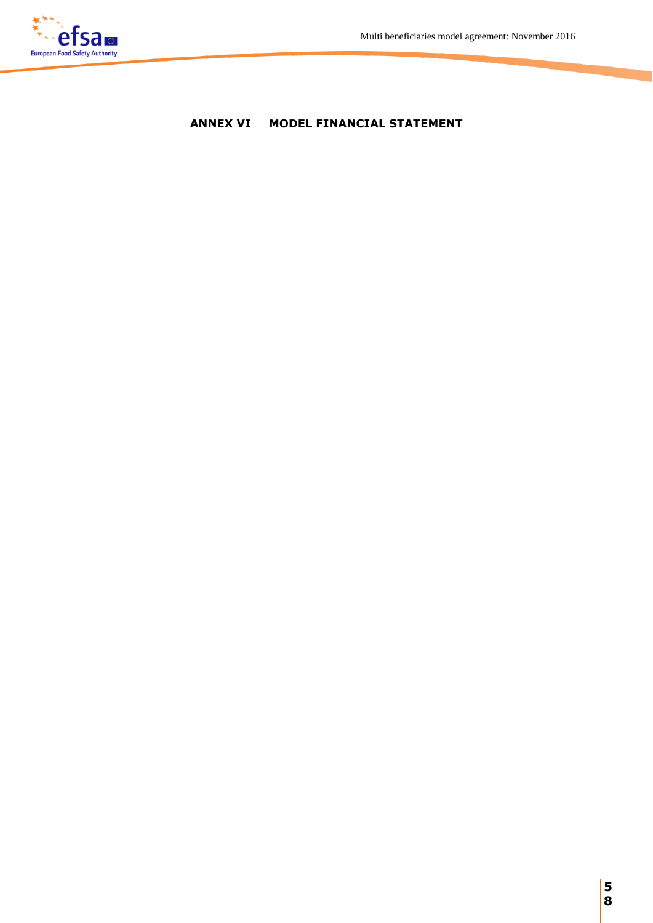# **ANNEX VI MODEL FINANCIAL STATEMENT**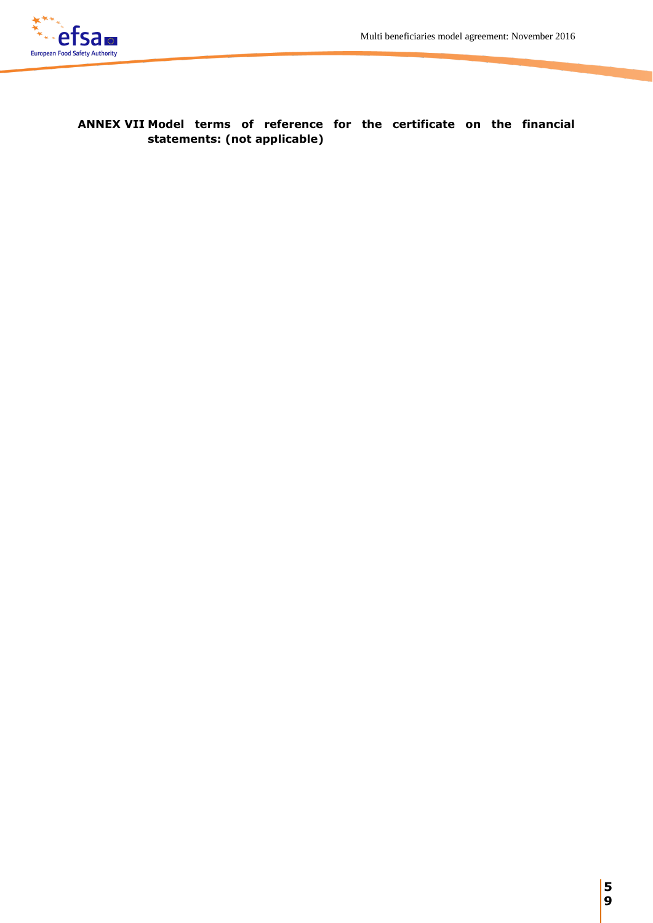

# **ANNEX VII Model terms of reference for the certificate on the financial statements: (not applicable)**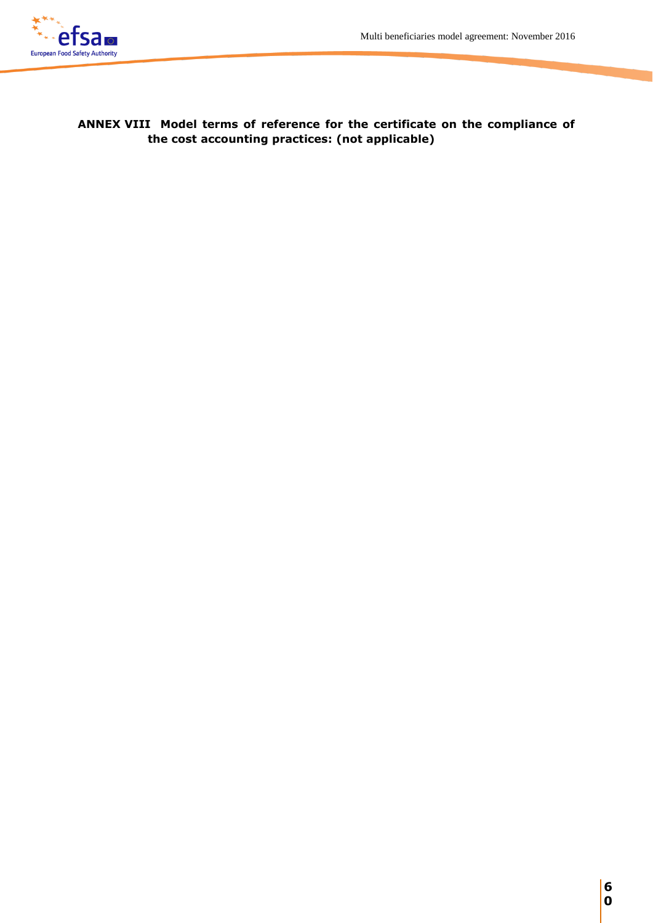

**ANNEX VIII Model terms of reference for the certificate on the compliance of the cost accounting practices: (not applicable)**